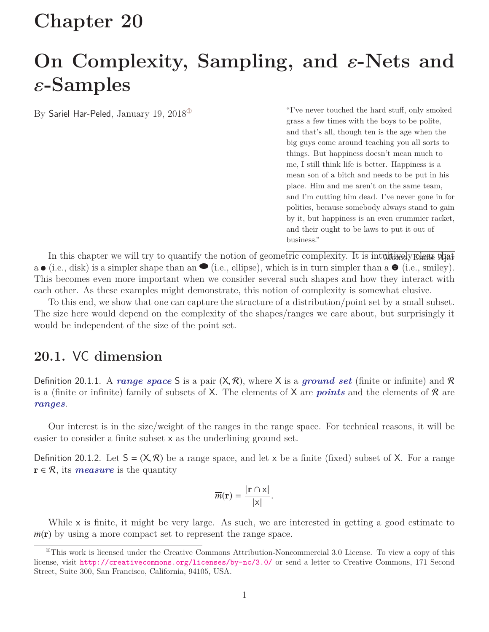# **Chapter 20**

# **On Complexity, Sampling, and** ε**-Nets and** ε**-Samples**

By Sariel Har-Peled, January 19, 2018<sup>®</sup> "I've never touched the hard stuff, only smoked grass a few times with the boys to be polite, and that's all, though ten is the age when the big guys come around teaching you all sorts to things. But happiness doesn't mean much to me, I still think life is better. Happiness is a mean son of a bitch and needs to be put in his place. Him and me aren't on the same team, and I'm cutting him dead. I've never gone in for politics, because somebody always stand to gain by it, but happiness is an even crummier racket, and their ought to be laws to put it out of business."

In this chapter we will try to quantify the notion of geometric complexity. It is intuitively clear that  $a \bullet (i.e., disk)$  is a simpler shape than an  $\bullet$  (i.e., ellipse), which is in turn simpler than  $a \bullet (i.e., smiley)$ . This becomes even more important when we consider several such shapes and how they interact with each other. As these examples might demonstrate, this notion of complexity is somewhat elusive.

To this end, we show that one can capture the structure of a distribution/point set by a small subset. The size here would depend on the complexity of the shapes/ranges we care about, but surprisingly it would be independent of the size of the point set.

## **20.1.** VC **dimension**

Definition 20.1.1. A *range space* S is a pair  $(X, \mathcal{R})$ , where X is a *ground set* (finite or infinite) and R is a (finite or infinite) family of subsets of X. The elements of X are *points* and the elements of R are *ranges*.

Our interest is in the size/weight of the ranges in the range space. For technical reasons, it will be easier to consider a finite subset x as the underlining ground set.

Definition 20.1.2. Let  $S = (X, \mathcal{R})$  be a range space, and let x be a finite (fixed) subset of X. For a range  $r \in \mathcal{R}$ , its *measure* is the quantity

$$
\overline{m}(\mathbf{r}) = \frac{|\mathbf{r} \cap \mathbf{x}|}{|\mathbf{x}|}.
$$

While x is finite, it might be very large. As such, we are interested in getting a good estimate to  $\overline{m}(\mathbf{r})$  by using a more compact set to represent the range space.

<span id="page-0-0"></span> ${}^{\circ}$ This work is licensed under the Creative Commons Attribution-Noncommercial 3.0 License. To view a copy of this license, visit <http://creativecommons.org/licenses/by-nc/3.0/> or send a letter to Creative Commons, 171 Second Street, Suite 300, San Francisco, California, 94105, USA.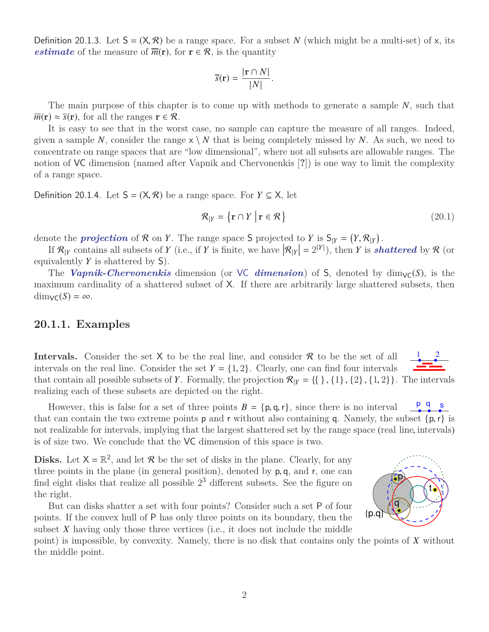Definition 20.1.3. Let  $S = (X, \mathcal{R})$  be a range space. For a subset N (which might be a multi-set) of x, its *estimate* of the measure of  $\overline{m}(\mathbf{r})$ , for  $\mathbf{r} \in \mathcal{R}$ , is the quantity

$$
\overline{s}(\mathbf{r}) = \frac{|\mathbf{r} \cap N|}{|N|}.
$$

The main purpose of this chapter is to come up with methods to generate a sample *N*, such that  $\overline{m}(\mathbf{r}) \approx \overline{s}(\mathbf{r})$ , for all the ranges  $\mathbf{r} \in \mathcal{R}$ .

It is easy to see that in the worst case, no sample can capture the measure of all ranges. Indeed, given a sample N, consider the range  $x \setminus N$  that is being completely missed by N. As such, we need to concentrate on range spaces that are "low dimensional", where not all subsets are allowable ranges. The notion of VC dimension (named after Vapnik and Chervonenkis [**?**]) is one way to limit the complexity of a range space.

Definition 20.1.4. Let  $S = (X, R)$  be a range space. For *Y* ⊆ X, let

$$
\mathcal{R}_{|Y} = \{ \mathbf{r} \cap Y \mid \mathbf{r} \in \mathcal{R} \}
$$
\n(20.1)

denote the *projection* of R on *Y*. The range space S projected to *Y* is  $S_{|Y} = (Y, R_{|Y})$ .<br>If  $R_{Y}$ , contains all subsets of *Y* (i.e., if *Y* is finite, we have  $|R_{Y}| = 2^{|Y|}$ ), then *Y* is sh

If  $\mathcal{R}_{|Y}$  contains all subsets of *Y* (i.e., if *Y* is finite, we have  $|\mathcal{R}_{|Y}| = 2^{|Y|}$ ), then *Y* is *shattered* by  $\mathcal{R}$  (or equivalently *Y* is shattered by S).

The *Vapnik-Chervonenkis* dimension (or VC *dimension*) of S, denoted by  $\dim_{\mathcal{V}}(S)$ , is the maximum cardinality of a shattered subset of X. If there are arbitrarily large shattered subsets, then  $dim_{\mathsf{VC}}(S) = \infty$ .

## **20.1.1. Examples**

1 2 **Intervals.** Consider the set  $X$  to be the real line, and consider  $\mathcal R$  to be the set of all intervals on the real line. Consider the set  $Y = \{1, 2\}$ . Clearly, one can find four intervals that contain all possible subsets of *Y*. Formally, the projection  $\mathcal{R}_{|Y} = \{\{\}\, , \{1\}, \{2\}, \{1, 2\}\}\.$  The intervals realizing each of these subsets are depicted on the right.

However, this is false for a set of three points  $B = \{p, q, r\}$ , since there is no interval<br>t can contain the two extreme points **p** and **r** without also containing **q**. Namely, the p q s that can contain the two extreme points **p** and **r** without also containing **q**. Namely, the subset  $\{p, r\}$  is not realizable for intervals, implying that the largest shattered set by the range space (real line, intervals) is of size two. We conclude that the VC dimension of this space is two.

**Disks.** Let  $X = \mathbb{R}^2$ , and let  $\mathcal{R}$  be the set of disks in the plane. Clearly, for any three points in the plane (in general position), denoted by <sup>p</sup>, <sup>q</sup>, and <sup>r</sup>, one can find eight disks that realize all possible  $2<sup>3</sup>$  different subsets. See the figure on the right.

But can disks shatter a set with four points? Consider such a set P of four points. If the convex hull of P has only three points on its boundary, then the subset *X* having only those three vertices (i.e., it does not include the middle

point) is impossible, by convexity. Namely, there is no disk that contains only the points of *X* without the middle point.

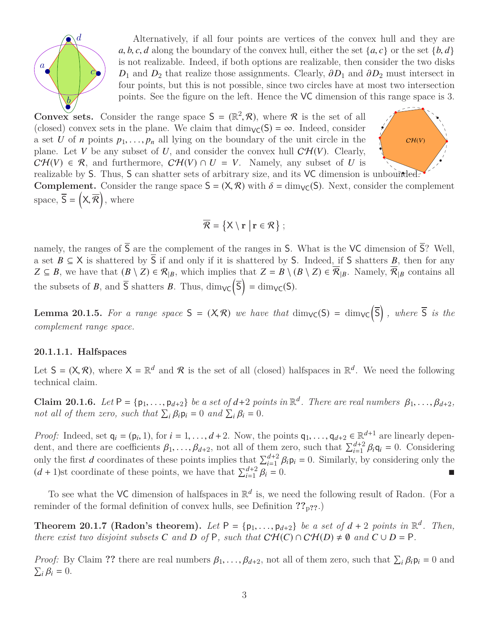

Alternatively, if all four points are vertices of the convex hull and they are *a*, *b*, *c*, *d* along the boundary of the convex hull, either the set  $\{a, c\}$  or the set  $\{b, d\}$ is not realizable. Indeed, if both options are realizable, then consider the two disks  $D_1$  and  $D_2$  that realize those assignments. Clearly,  $\partial D_1$  and  $\partial D_2$  must intersect in four points, but this is not possible, since two circles have at most two intersection points. See the figure on the left. Hence the VC dimension of this range space is 3.

**Convex sets.** Consider the range space  $S = (\mathbb{R}^2, \mathcal{R})$ , where  $\mathcal{R}$  is the set of all (closed) convex sets in the plane. We claim that dim  $\mathcal{L}(S) = \infty$ . Indeed, consider (closed) convex sets in the plane. We claim that  $\dim_{\mathsf{VC}}(S) = \infty$ . Indeed, consider a set *U* of *n* points  $p_1, \ldots, p_n$  all lying on the boundary of the unit circle in the plane. Let *V* be any subset of *U*, and consider the convex hull  $\mathcal{CH}(V)$ . Clearly,  $C\mathcal{H}(V) \in \mathcal{R}$ , and furthermore,  $C\mathcal{H}(V) \cap U = V$ . Namely, any subset of *U* is



realizable by S. Thus, S can shatter sets of arbitrary size, and its VC dimension is unbounded. **Complement.** Consider the range space  $S = (X, \mathcal{R})$  with  $\delta = \dim_{\mathsf{VC}}(S)$ . Next, consider the complement space,  $\overline{S} = (\mathsf{X}, \overline{\mathcal{R}})$ , where

$$
\overline{\mathcal{R}} = \left\{ X \setminus \mathbf{r} \middle| \mathbf{r} \in \mathcal{R} \right\};
$$

namely, the ranges of  $\overline{S}$  are the complement of the ranges in S. What is the VC dimension of  $\overline{S}$ ? Well, a set  $B \subseteq X$  is shattered by  $\overline{S}$  if and only if it is shattered by S. Indeed, if S shatters *B*, then for any *Z* ⊆ *B*, we have that  $(B \setminus Z) \in \mathcal{R}_{|B}$ , which implies that  $Z = B \setminus (B \setminus Z) \in \overline{\mathcal{R}}_{|B}$ . Namely,  $\overline{\mathcal{R}}_{|B}$  contains all the subsets of *B*, and  $\overline{S}$  shatters *B*. Thus,  $\dim_{\mathsf{VC}}(\overline{S}) = \dim_{\mathsf{VC}}(S)$ .

**Lemma 20.1.5.** For a range space  $S = (X, \mathcal{R})$  we have that  $\dim_{\mathsf{VC}}(S) = \dim_{\mathsf{VC}}(\overline{S})$ , where  $\overline{S}$  is the *complement range space.*

#### **20.1.1.1. Halfspaces**

Let  $S = (X, \mathcal{R})$ , where  $X = \mathbb{R}^d$  and  $\mathcal{R}$  is the set of all (closed) halfspaces in  $\mathbb{R}^d$ . We need the following technical claim technical claim.

**Claim 20.1.6.** *Let*  $P = \{p_1, \ldots, p_{d+2}\}$  *be a set of*  $d+2$  *points in*  $\mathbb{R}^d$ *. There are real numbers*  $\beta_1, \ldots, \beta_{d+2}$ *, not all of them zero, such that*  $\sum_i \beta_i p_i = 0$  *and*  $\sum_i \beta_i = 0$ *not all of them zero, such that*  $\sum_i \beta_i \mathbf{p}_i = 0$  *and*  $\sum_i \beta_i = 0$ *.* 

*Proof:* Indeed, set  $\mathbf{q}_i = (\mathbf{p}_i, 1)$ , for  $i = 1, ..., d+2$ . Now, the points  $\mathbf{q}_1, ..., \mathbf{q}_{d+2} \in \mathbb{R}^{d+1}$  are linearly dependent and there are coefficients  $\mathcal{B}_i$ , a not all of them zero, such that  $\sum_{i=1}^{d+2} \$ dent, and there are coefficients  $\beta_1, \ldots, \beta_{d+2}$ , not all of them zero, such that  $\sum_{i=1}^{d+2} \beta_i \mathbf{q}_i = 0$ . Considering only the first description of these points inclusion that  $\sum_{i=1}^{d+2} \beta_i \mathbf{q}_i = 0$ . Similarl only the first *d* coordinates of these points implies that  $\sum_{i=1}^{d+2} \beta_i \mathbf{p}_i = 0$ . Similarly, by considering only the  $(d+1)$ <sub>d</sub> coordinate of these points, we have that  $\sum_{i=1}^{d+2} \beta_i = 0$ .  $(d+1)$ st coordinate of these points, we have that  $\sum_{i=1}^{d+2}$  $\beta_i = 0.$ 

To see what the VC dimension of halfspaces in  $\mathbb{R}^d$  is, we need the following result of Radon. (For a reminder of the formal definition of convex hulls, see Definition **??**p**??**.)

**Theorem 20.1.7 (Radon's theorem).** *Let*  $P = \{p_1, \ldots, p_{d+2}\}$  *be a set of*  $d + 2$  *points in*  $\mathbb{R}^d$ *. Then,* there exist two disjoint subsets C and D of P such that  $CH(C) \cap CH(D) \neq \emptyset$  and  $C \cup D = P$ *there exist two disjoint subsets C and D of* P, *such that*  $CH(C) \cap CH(D) \neq \emptyset$  *and*  $C \cup D = P$ *.* 

*Proof:* By Claim **??** there are real numbers  $\beta_1, \ldots, \beta_{d+2}$ , not all of them zero, such that  $\sum_i \beta_i \mathbf{p}_i = 0$  and  $\nabla \cdot \mathbf{R} = 0$  $\sum_i \beta_i = 0.$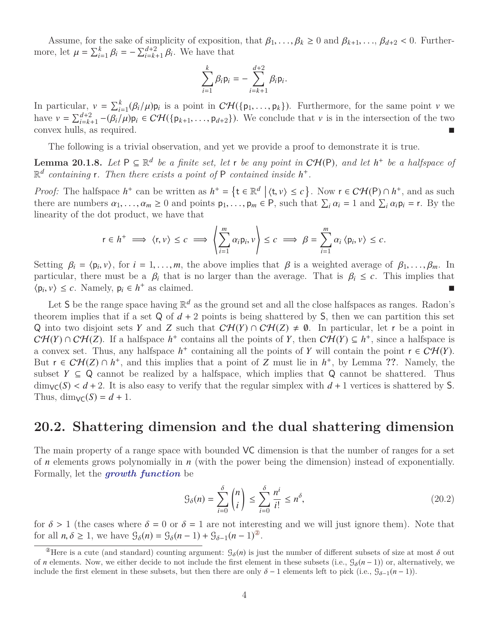Assume, for the sake of simplicity of exposition, that  $\beta_1, \ldots, \beta_k \geq 0$  and  $\beta_{k+1}, \ldots, \beta_{d+2} < 0$ . Furthermore, let  $\mu = \sum_{i=1}^{k} \beta_i = -\sum_{i=k+1}^{d+2} \beta_i$ . We have that

$$
\sum_{i=1}^k \beta_i \mathsf{p}_i = -\sum_{i=k+1}^{d+2} \beta_i \mathsf{p}_i.
$$

In particular,  $v = \sum_{i=1}^{k} (\beta_i/\mu) \mathbf{p}_i$  is a point in  $C\mathcal{H}(\{\mathbf{p}_1, ..., \mathbf{p}_k\})$ . Furthermore, for the same point  $v$  we have  $v = \sum_{i=k+1}^{d+2} -(\beta_i/\mu) \mathbf{p}_i \in C\mathcal{H}(\{\mathbf{p}_{k+1}, ..., \mathbf{p}_{d+2}\})$ . We conclude that  $v$  is i

The following is a trivial observation, and yet we provide a proof to demonstrate it is true.

**Lemma 20.1.8.** Let  $P \subseteq \mathbb{R}^d$  be a finite set, let r be any point in  $CH(P)$ , and let  $h^+$  be a halfspace of  $\mathbb{R}^d$  *containing* **r**. Then there exists a point of P *contained inside*  $h^+$ .

*Proof:* The halfspace  $h^+$  can be written as  $h^+ = \{t \in \mathbb{R}^d \mid \langle t, v \rangle \leq c\}$ . Now  $r \in \mathcal{CH}(P) \cap h^+$ , and as such there are numbers  $\alpha_i \in \mathcal{A} \cup \{t, v\}$  and points  $p_i \in P$  such that  $\sum \alpha_i = 1$  and  $\sum \alpha_i p_i = r$ . By t there are numbers  $\alpha_1, \ldots, \alpha_m \ge 0$  and points  $p_1, \ldots, p_m \in P$ , such that  $\sum_i \alpha_i = 1$  and  $\sum_i \alpha_i p_i = r$ . By the linearity of the dot product, we have that linearity of the dot product, we have that

$$
r \in h^+ \implies \langle r, v \rangle \leq c \implies \left\langle \sum_{i=1}^m \alpha_i p_i, v \right\rangle \leq c \implies \beta = \sum_{i=1}^m \alpha_i \langle p_i, v \rangle \leq c.
$$

Setting  $\beta_i = \langle p_i, v \rangle$ , for  $i = 1, ..., m$ , the above implies that  $\beta$  is a weighted average of  $\beta_1, ..., \beta_m$ . In particular, there must be a  $\beta_i$ , that is no larger than the average. That is  $\beta_i \leq c$ . This implies that particular, there must be a  $\beta_i$  that is no larger than the average. That is  $\beta_i \leq c$ . This implies that  $\langle p_i, v \rangle \leq c$ . Namely,  $p_i \in h^+$  as claimed.

Let S be the range space having  $\mathbb{R}^d$  as the ground set and all the close halfspaces as ranges. Radon's theorem implies that if a set  $Q$  of  $d + 2$  points is being shattered by S, then we can partition this set Q into two disjoint sets *Y* and *Z* such that  $\mathcal{CH}(Y) \cap \mathcal{CH}(Z) \neq \emptyset$ . In particular, let *r* be a point in  $\mathcal{CH}(Y) \cap \mathcal{CH}(Z)$ . If a halfspace  $h^+$  contains all the points of *Y*, then  $\mathcal{CH}(Y) \subseteq h^+$ , since a halfspace is a convex set. Thus, any halfspace  $h^+$  containing all the points of *Y* will contain the point  $r \in \mathcal{CH}(Y)$ . But  $r \in \mathcal{CH}(Z) \cap h^+$ , and this implies that a point of *Z* must lie in  $h^+$ , by Lemma ??. Namely, the subset  $Y \subseteq Q$  cannot be realized by a halfspace, which implies that  $Q$  cannot be shattered. Thus  $\dim_{\mathsf{VC}}(S) < d+2$ . It is also easy to verify that the regular simplex with  $d+1$  vertices is shattered by S. Thus,  $\dim_{\mathsf{VC}}(S) = d + 1$ .

## **20.2. Shattering dimension and the dual shattering dimension**

The main property of a range space with bounded VC dimension is that the number of ranges for a set of *n* elements grows polynomially in *n* (with the power being the dimension) instead of exponentially. Formally, let the *growth function* be

$$
\mathcal{G}_{\delta}(n) = \sum_{i=0}^{\delta} \binom{n}{i} \le \sum_{i=0}^{\delta} \frac{n^i}{i!} \le n^{\delta},\tag{20.2}
$$

for  $\delta > 1$  (the cases where  $\delta = 0$  or  $\delta = 1$  are not interesting and we will just ignore them). Note that for all  $n, \delta \ge 1$ , we have  $\mathcal{G}_{\delta}(n) = \mathcal{G}_{\delta}(n-1) + \mathcal{G}_{\delta-1}(n-1)^{\otimes}$ .

<span id="page-3-0"></span><sup>&</sup>lt;sup>2</sup>Here is a cute (and standard) counting argument:  $\mathcal{G}_{\delta}(n)$  is just the number of different subsets of size at most  $\delta$  out of *n* elements. Now, we either decide to not include the first element in these subsets (i.e.,  $\mathcal{G}_{\delta}(n-1)$ ) or, alternatively, we include the first element in these subsets, but then there are only  $\delta - 1$  elements left to pick (i.e.,  $\mathcal{G}_{\delta-1}(n-1)$ ).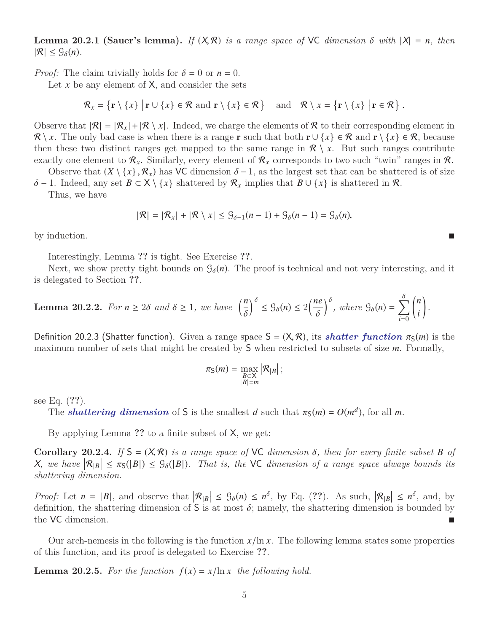**Lemma 20.2.1 (Sauer's lemma).** *If*  $(X, \mathcal{R})$  *is a range space of* VC *dimension*  $\delta$  *with*  $|X| = n$ *, then*  $|\mathcal{R}| \leq \mathcal{G}_{\delta}(n)$ .

*Proof:* The claim trivially holds for  $\delta = 0$  or  $n = 0$ .

Let  $x$  be any element of  $X$ , and consider the sets

$$
\mathcal{R}_x = \{ \mathbf{r} \setminus \{x\} \mid \mathbf{r} \cup \{x\} \in \mathcal{R} \text{ and } \mathbf{r} \setminus \{x\} \in \mathcal{R} \} \quad \text{and} \quad \mathcal{R} \setminus x = \{ \mathbf{r} \setminus \{x\} \mid \mathbf{r} \in \mathcal{R} \}
$$

Observe that  $|\mathcal{R}| = |\mathcal{R}_x| + |\mathcal{R} \setminus \mathcal{X}|$ . Indeed, we charge the elements of  $\mathcal{R}$  to their corresponding element in  $\mathcal{R} \setminus x$ . The only bad case is when there is a range **r** such that both  $\mathbf{r} \cup \{x\} \in \mathcal{R}$  and  $\mathbf{r} \setminus \{x\} \in \mathcal{R}$ , because then these two distinct ranges get mapped to the same range in  $\mathcal{R} \setminus x$ . But such ranges contribute exactly one element to  $\mathcal{R}_x$ . Similarly, every element of  $\mathcal{R}_x$  corresponds to two such "twin" ranges in  $\mathcal{R}_x$ .

Observe that  $(X \setminus \{x\}, \mathcal{R}_x)$  has VC dimension  $\delta - 1$ , as the largest set that can be shattered is of size

 $\delta$  − 1. Indeed, any set  $B \subset X \setminus \{x\}$  shattered by  $\mathcal{R}_x$  implies that  $B \cup \{x\}$  is shattered in  $\mathcal{R}$ . Thus, we have

$$
|\mathcal{R}| = |\mathcal{R}_x| + |\mathcal{R} \setminus x| \leq \mathcal{G}_{\delta-1}(n-1) + \mathcal{G}_{\delta}(n-1) = \mathcal{G}_{\delta}(n),
$$

by induction.

Interestingly, Lemma **??** is tight. See Exercise **??**.

Next, we show pretty tight bounds on  $\mathcal{G}_{\delta}(n)$ . The proof is technical and not very interesting, and it is delegated to Section **??**.

**Lemma 20.2.2.** *For*  $n \geq 2\delta$  *and*  $\delta \geq 1$ *, we have*  $\left(\frac{n}{\delta}\right)$  $\int_{0}^{\delta} \leq \mathcal{G}_{\delta}(n) \leq 2\left(\frac{ne}{\delta}\right)$  $\int_{0}^{\infty}$ , where  $\mathcal{G}_{\delta}(n) = \sum_{i=0}^{\infty}$ *i*=0 *n i*  $\backslash$ *.*

Definition 20.2.3 (Shatter function). Given a range space  $S = (X, R)$ , its *shatter function*  $\pi_S(m)$  is the maximum number of sets that might be created by S when restricted to subsets of size *m*. Formally,

$$
\pi_{\mathsf{S}}(m) = \max_{\substack{B \subset \mathsf{X} \\ |B| = m}} |\mathcal{R}_{|B}|;
$$

see Eq. (**??**).

The **shattering dimension** of S is the smallest *d* such that  $\pi_S(m) = O(m^d)$ , for all *m*.

By applying Lemma **??** to a finite subset of X, we get:

**Corollary 20.2.4.** *If*  $S = (X, R)$  *is a range space of* VC *dimension*  $\delta$ *, then for every finite subset*  $B$  *of*  $X$ , we have  $|\mathcal{R}_{|B}| \leq \pi_{S}(|B|) \leq \mathcal{G}_{\delta}(|B|)$ . That is, the VC dimension of a range space always bounds its shattering dimension *shattering dimension.*

*Proof:* Let  $n = |B|$ , and observe that  $|\mathcal{R}_{|B}| \leq \mathcal{G}_{\delta}(n) \leq n^{\delta}$ , by Eq. (??). As such,  $|\mathcal{R}_{|B}| \leq n^{\delta}$ , and, by definition the obstrains dimension of  $S$  is at most  $\delta$ ; namely the obstrains dimension is bou definition, the shattering dimension of **S** is at most  $\delta$ ; namely, the shattering dimension is bounded by the VC dimension. the VC dimension.

Our arch-nemesis in the following is the function  $x/\ln x$ . The following lemma states some properties of this function, and its proof is delegated to Exercise **??**.

**Lemma 20.2.5.** For the function  $f(x) = x/\ln x$  the following hold.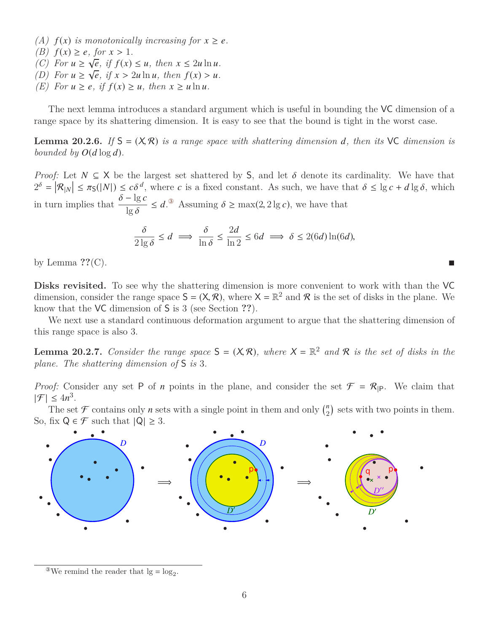- *(A)*  $f(x)$  *is monotonically increasing for*  $x \ge e$ *.*
- *(B)*  $f(x) \geq e$ , for  $x > 1$ .<br>*(C)* For  $u > \sqrt{e}$  if  $f(x)$ .
- *(C) For*  $u \ge \sqrt{e}$ *, if*  $f(x) \le u$ *, then*  $x \le 2u \ln u$ *.*
- *(D)* For  $u \ge \sqrt{e}$ , if  $x > 2u \ln u$ , then  $f(x) > u$ .<br>*(F)* For  $u \ge e$  if  $f(x) > u$ , then  $x > u \ln u$ .
- *(E) For*  $u \ge e$ *, if*  $f(x) \ge u$ *, then*  $x \ge u \ln u$ *.*

The next lemma introduces a standard argument which is useful in bounding the VC dimension of a range space by its shattering dimension. It is easy to see that the bound is tight in the worst case.

**Lemma 20.2.6.** If  $S = (X, R)$  *is a range space with shattering dimension d, then its* VC *dimension is bounded by*  $O(d \log d)$ *.* 

*Proof:* Let  $N \subseteq X$  be the largest set shattered by S, and let  $\delta$  denote its cardinality. We have that  $2^{\delta} = |\mathcal{R}_{|N}| \leq \pi_{\mathsf{S}}(|N|) \leq c\delta^d$ , where *c* is a fixed constant. As such, we have that  $\delta \leq \lg c + d\lg \delta$ , which  $\delta = \lg c$ in turn implies that  $\frac{\delta - \lg c}{\lg s}$  $\lg \delta$  $\leq d$ .<sup>3</sup> Assuming  $\delta \geq \max(2, 2 \lg c)$ , we have that

$$
\frac{\delta}{2\lg \delta} \le d \implies \frac{\delta}{\ln \delta} \le \frac{2d}{\ln 2} \le 6d \implies \delta \le 2(6d)\ln(6d),
$$

by Lemma **??**(C).

Disks revisited. To see why the shattering dimension is more convenient to work with than the VC dimension, consider the range space  $S = (X, \mathcal{R})$ , where  $X = \mathbb{R}^2$  and  $\mathcal{R}$  is the set of disks in the plane. We<br>know that the VC dimension of S is 3 (see Section 22) know that the VC dimension of S is 3 (see Section **??**).

We next use a standard continuous deformation argument to argue that the shattering dimension of this range space is also 3.

**Lemma 20.2.7.** *Consider the range space*  $S = (X, \mathcal{R})$ *, where*  $X = \mathbb{R}^2$  *and*  $\mathcal{R}$  *is the set of disks in the* plane. The shattering dimension of  $S$  is 3 *plane. The shattering dimension of* S *is* 3*.*

*Proof:* Consider any set P of *n* points in the plane, and consider the set  $\mathcal{F} = \mathcal{R}_{P}$ . We claim that  $|\mathcal{F}| \leq 4n^3$ .

The set  $\mathcal F$  contains only *n* sets with a single point in them and only  $\binom{n}{2}$  $n \choose 2$  sets with two points in them. So, fix  $Q \in \mathcal{F}$  such that  $|Q| \geq 3$ .



<span id="page-5-0"></span><sup>&</sup>lt;sup>3</sup>We remind the reader that  $\lg = \log_2$ .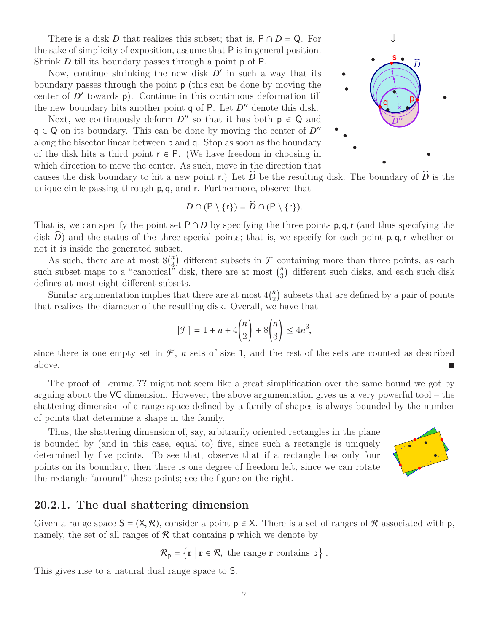There is a disk *D* that realizes this subset; that is,  $P \cap D = Q$ . For the sake of simplicity of exposition, assume that P is in general position. Shrink *D* till its boundary passes through a point **p** of P.

Now, continue shrinking the new disk  $D'$  in such a way that its boundary passes through the point p (this can be done by moving the center of  $D'$  towards  $p$ ). Continue in this continuous deformation till the new boundary hits another point  $q$  of  $P$ . Let  $D''$  denote this disk.

Next, we continuously deform  $D''$  so that it has both  $p \in Q$  and  $q \in Q$  on its boundary. This can be done by moving the center of  $D''$ along the bisector linear between p and q. Stop as soon as the boundary of the disk hits a third point  $r \in P$ . (We have freedom in choosing in which direction to move the center. As such, move in the direction that

⇓ q s *D* 00 *D*b p

causes the disk boundary to hit a new point r.) Let  $D$  be the resulting disk. The boundary of  $D$  is the unique circle passing through <sup>p</sup>, <sup>q</sup>, and <sup>r</sup>. Furthermore, observe that

$$
D \cap (\mathsf{P} \setminus \{r\}) = \widehat{D} \cap (\mathsf{P} \setminus \{r\}).
$$

That is, we can specify the point set  $P \cap D$  by specifying the three points p, q, r (and thus specifying the disk  $\tilde{D}$ ) and the status of the three special points; that is, we specify for each point  $p, q, r$  whether or not it is inside the generated subset.

As such, there are at most  $8\binom{n}{3}$  $\binom{n}{3}$  different subsets in  $\mathcal F$  containing more than three points, as each such subset maps to a "canonical" disk, there are at most  $\binom{n}{3}$  $n_3$ ) different such disks, and each such disk defines at most eight different subsets.

Similar argumentation implies that there are at most  $4\binom{n}{2}$  $n_2$ ) subsets that are defined by a pair of points that realizes the diameter of the resulting disk. Overall, we have that

$$
|\mathcal{F}| = 1 + n + 4\binom{n}{2} + 8\binom{n}{3} \le 4n^3,
$$

since there is one empty set in  $\mathcal{F}$ , *n* sets of size 1, and the rest of the sets are counted as described above.

The proof of Lemma **??** might not seem like a great simplification over the same bound we got by arguing about the VC dimension. However, the above argumentation gives us a very powerful tool – the shattering dimension of a range space defined by a family of shapes is always bounded by the number of points that determine a shape in the family.

Thus, the shattering dimension of, say, arbitrarily oriented rectangles in the plane is bounded by (and in this case, equal to) five, since such a rectangle is uniquely determined by five points. To see that, observe that if a rectangle has only four points on its boundary, then there is one degree of freedom left, since we can rotate the rectangle "around" these points; see the figure on the right.



## **20.2.1. The dual shattering dimension**

Given a range space  $S = (X, \mathcal{R})$ , consider a point  $p \in X$ . There is a set of ranges of  $\mathcal{R}$  associated with p, namely, the set of all ranges of  $R$  that contains  $p$  which we denote by

$$
\mathcal{R}_{p} = \{ \mathbf{r} \mid \mathbf{r} \in \mathcal{R}, \text{ the range } \mathbf{r} \text{ contains } p \}.
$$

This gives rise to a natural dual range space to S.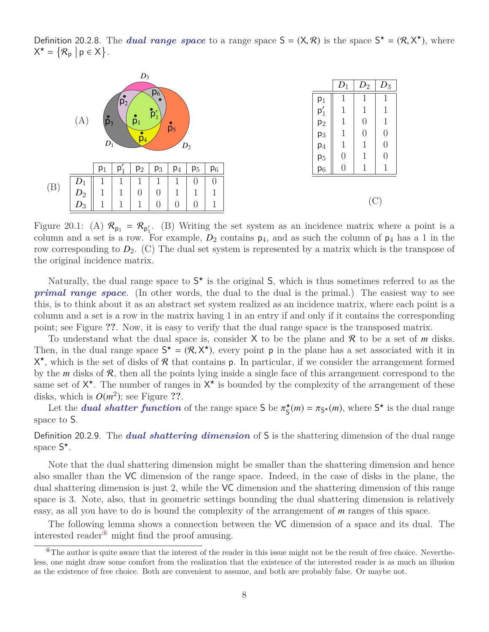Definition 20.2.8. The *dual range space* to a range space  $S = (X, \mathcal{R})$  is the space  $S^* = (\mathcal{R}, X^*)$ , where  $X^* = \{R \mid R \in X\}$  $X^* = \{ \mathcal{R}_{p} \mid p \in X \}.$ 



Figure 20.1: (A)  $\mathcal{R}_{p_1} = \mathcal{R}_{p'_1}$ . (B) Writing the set system as an incidence matrix where a point is a column and a set is a row. For example,  $D_2$  contains  $p_4$ , and as such the column of  $p_4$  has a 1 in the row corresponding to *D*2. (C) The dual set system is represented by a matrix which is the transpose of the original incidence matrix.

Naturally, the dual range space to  $S^*$  is the original S, which is thus sometimes referred to as the *primal range space*. (In other words, the dual to the dual is the primal.) The easiest way to see this, is to think about it as an abstract set system realized as an incidence matrix, where each point is a column and a set is a row in the matrix having 1 in an entry if and only if it contains the corresponding point; see Figure **??**. Now, it is easy to verify that the dual range space is the transposed matrix.

To understand what the dual space is, consider X to be the plane and R to be a set of *m* disks. Then, in the dual range space  $S^* = (\mathcal{R}, X^*)$ , every point **p** in the plane has a set associated with it in<br> $X^*$  which is the set of disks of  $\mathcal{R}$  that contains **p**. In particular, if we consider the arrangement form  $X^*$ , which is the set of disks of R that contains p. In particular, if we consider the arrangement formed by the *m* disks of R, then all the points lying inside a single face of this arrangement correspond to the same set of  $X^*$ . The number of ranges in  $X^*$  is bounded by the complexity of the arrangement of these disks, which is  $O(m^2)$ ; see Figure ??.

Let the *dual shatter function* of the range space S be  $\pi_{\mathsf{S}}^{\star}(m) = \pi_{\mathsf{S}}^{\star}(m)$ , where  $\mathsf{S}^{\star}$  is the dual range  $\cos$  to  $\mathsf{S}$ space to S.

Definition 20.2.9. The *dual shattering dimension* of S is the shattering dimension of the dual range space  $S^*$ .

Note that the dual shattering dimension might be smaller than the shattering dimension and hence also smaller than the VC dimension of the range space. Indeed, in the case of disks in the plane, the dual shattering dimension is just 2, while the VC dimension and the shattering dimension of this range space is 3. Note, also, that in geometric settings bounding the dual shattering dimension is relatively easy, as all you have to do is bound the complexity of the arrangement of *m* ranges of this space.

The following lemma shows a connection between the VC dimension of a space and its dual. The interested reader<sup> $\Phi$ </sup> might find the proof amusing.

<span id="page-7-0"></span> $^{\circ}$ The author is quite aware that the interest of the reader in this issue might not be the result of free choice. Nevertheless, one might draw some comfort from the realization that the existence of the interested reader is as much an illusion as the existence of free choice. Both are convenient to assume, and both are probably false. Or maybe not.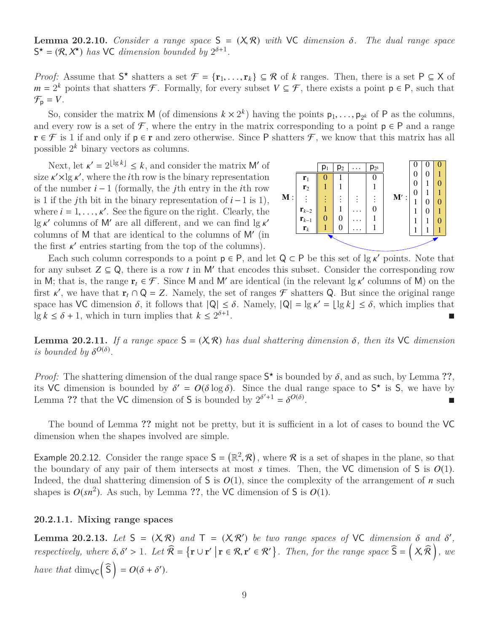**Lemma 20.2.10.** *Consider a range space*  $S = (X, R)$  *with*  $VC$  *dimension*  $\delta$ *. The dual range space*  $S^* = (R, X^*)$  *has* VC *dimension bounded by*  $2^{\delta+1}$ *.* 

*Proof:* Assume that  $S^*$  shatters a set  $\mathcal{F} = {\mathbf{r}_1, ..., \mathbf{r}_k} \subseteq \mathcal{R}$  of *k* ranges. Then, there is a set  $P \subseteq X$  of  $m = 2^k$  points that shatters  $\mathcal{F}$  Formally for every subset  $V \subseteq \mathcal{F}$  there exists a point  $m = 2^k$  points that shatters *F*. Formally, for every subset  $V \subseteq \mathcal{F}$ , there exists a point  $p \in P$ , such that  $\mathcal{F}_{\mathsf{p}} = V$ .

So, consider the matrix M (of dimensions  $k \times 2^k$ ) having the points  $p_1, \ldots, p_{2^k}$  of P as the columns,<br>every row is a set of  $\mathcal F$  where the entry in the matrix corresponding to a point  $p \in \mathcal P$  and a range and every row is a set of  $\mathcal F$ , where the entry in the matrix corresponding to a point  $p \in P$  and a range  $\mathbf{r} \in \mathcal{F}$  is 1 if and only if  $\mathbf{p} \in \mathbf{r}$  and zero otherwise. Since P shatters  $\mathcal{F}$ , we know that this matrix has all possible 2 *<sup>k</sup>* binary vectors as columns.

Next, let  $\kappa' = 2^{\lfloor \lg k \rfloor} \leq k$ , and consider the matrix M' of  $\kappa' \times \lg \kappa'$  where the *i*<sup>th</sup> row is the hinary representation size  $\kappa' \times \lg \kappa'$ , where the *i*<sup>th</sup> row is the binary representation<br>of the number  $i-1$  (formally the *i*<sup>th</sup> entry in the *i*<sup>th</sup> row of the number *i* − 1 (formally, the *j*th entry in the *i*th row is 1 if the *j*th bit in the binary representation of *i* −1 is 1), where  $i = 1, \ldots, \kappa'$ . See the figure on the right. Clearly, the  $\log \kappa'$  columns of M' are all different, and we can find  $\log \kappa'$ lg  $\kappa'$  columns of M' are all different, and we can find  $\lg \kappa'$ <br>columns of M that are identical to the columns of M' (in columns of  $M$  that are identical to the columns of  $M'$  (in the first  $\kappa'$  entries starting from the top of the columns).<br>Facts such column corresponds to a point  $\rho \in \mathsf{P}$  and



Each such column corresponds to a point  $p \in P$ , and let  $Q \subset P$  be this set of  $\lg \kappa'$  points. Note that any subset  $Z \subset \Omega$  there is a row t in M' that encodes this subset. Consider the corresponding row for any subset  $Z \subseteq Q$ , there is a row *t* in M' that encodes this subset. Consider the corresponding row in M; that is, the range  $\mathbf{r}_t \in \mathcal{F}$ . Since M and M' are identical (in the relevant  $\lg \kappa'$  columns of M) on the first  $\kappa'$  we have that  $\mathbf{r}_t \cap \Omega = \mathbf{Z}$ . Namely, the set of ranges  $\mathcal{F}$  shatters  $\Omega$ . But first  $\kappa'$ , we have that  $\mathbf{r}_t \cap \mathsf{Q} = \mathsf{Z}$ . Namely, the set of ranges  $\mathcal{F}$  shatters  $\mathsf{Q}$ . But since the original range<br>space has  $\mathsf{M}$  dimension  $\delta$  it follows that  $|\mathsf{Q}| < \delta$ . Namely,  $|\mathsf{Q}| - |\mathsf{$ space has VC dimension  $\delta$ , it follows that  $|Q| \leq \delta$ . Namely,  $|Q| = \lg \kappa' = \lfloor \lg k \rfloor \leq \delta$ , which implies that  $\lg k < \delta + 1$  which in turn implies that  $k < 2^{\delta+1}$  $\lg k \leq \delta + 1$ , which in turn implies that  $k \leq 2^{\delta+1}$ .

**Lemma 20.2.11.** If a range space  $S = (X, \mathcal{R})$  has dual shattering dimension  $\delta$ , then its VC dimension *is bounded by*  $\delta^{O(\delta)}$ .

*Proof:* The shattering dimension of the dual range space  $S^*$  is bounded by  $\delta$ , and as such, by Lemma ??, its  $\delta$  is  $\delta$  dimension is bounded by  $\delta' = O(\delta \log \delta)$ . Since the dual range space to  $S^*$  is  $\delta$ , we have b its VC dimension is bounded by  $\delta' = O(\delta \log \delta)$ . Since the dual range space to  $S^*$  is S, we have by Lemma 22 that the VC dimension of S is bounded by  $2^{\delta'+1} - \delta^{O(\delta)}$ Lemma ?? that the VC dimension of S is bounded by  $2^{\delta'+1} = \delta^{O(\delta)}$ .

The bound of Lemma **??** might not be pretty, but it is sufficient in a lot of cases to bound the VC dimension when the shapes involved are simple.

Example 20.2.12. Consider the range space  $S = (\mathbb{R}^2, \mathcal{R})$ , where  $\mathcal{R}$  is a set of shapes in the plane, so that the boundary of any pair of them intersects at most s times. Then, the VC dimension of S is  $O(1)$ the boundary of any pair of them intersects at most  $s$  times. Then, the VC dimension of  $S$  is  $O(1)$ . Indeed, the dual shattering dimension of S is  $O(1)$ , since the complexity of the arrangement of *n* such shapes is  $O(sn^2)$ . As such, by Lemma ??, the VC dimension of S is  $O(1)$ .

#### **20.2.1.1. Mixing range spaces**

**Lemma 20.2.13.** *Let*  $S = (X, R)$  *and*  $T = (X, R')$  *be two range spaces of* VC *dimension*  $\delta$  *and*  $\delta'$ , *respectively, where*  $\delta, \delta' > 1$ *. Let*  $\widehat{\mathcal{R}} = \{ \mathbf{r} \cup \mathbf{r}' \mid \mathbf{r} \in \mathcal{R}, \mathbf{r}' \in \mathcal{R}' \}$ *. Then, for the range space*  $\widehat{\mathsf{S}} = \left( \mathsf{X}, \widehat{\mathcal{R}} \right)$ *, we have that*  $\dim_{\mathsf{VC}}(\widehat{\mathsf{S}}) = O(\delta + \delta').$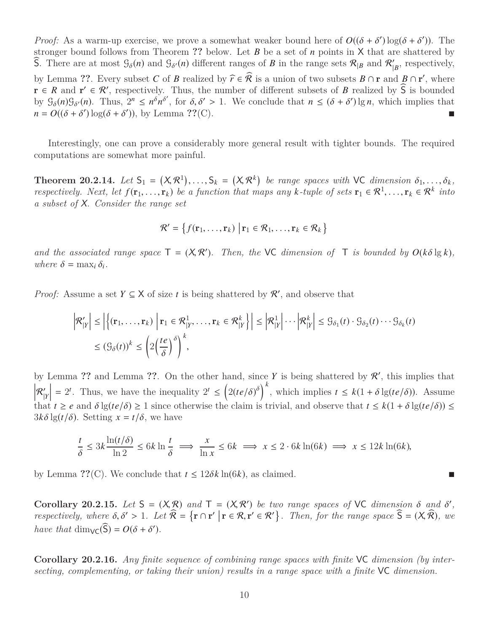*Proof:* As a warm-up exercise, we prove a somewhat weaker bound here of  $O((\delta + \delta') \log(\delta + \delta'))$ . The stronger bound follows from Theorem 22 below. Let R be a set of *n* points in X that are shattered by stronger bound follows from Theorem **??** below. Let *B* be a set of *n* points in X that are shattered by S. There are at most  $\mathcal{G}_{\delta}(n)$  and  $\mathcal{G}_{\delta'}(n)$  different ranges of *B* in the range sets  $\mathcal{R}_{|B}$  and  $\mathcal{R}'_{|B}$  $'_{|B}$ , respectively, by Lemma ??. Every subset *C* of *B* realized by  $\hat{r} \in \hat{\mathcal{R}}$  is a union of two subsets  $B \cap r$  and  $B \cap r'$ , where  $r \in B$  and  $r' \in \mathcal{P}'$  representively. Thus, the number of different subsets of *B* realized by  $\hat{\math$  $\mathbf{r} \in \mathbb{R}$  and  $\mathbf{r}' \in \mathcal{R}'$ , respectively. Thus, the number of different subsets of *B* realized by  $\widehat{S}$  is bounded by  $\mathcal{G}_{\delta}(n)\mathcal{G}_{\delta'}(n)$ . Thus,  $2^n \leq n^{\delta}n^{\delta}$ , for  $\delta, \delta' > 1$ . We conclude that  $n \leq (\delta + \delta') \lg n$ , which implies that  $n = O((\delta + \delta') \log(\delta + \delta'))$ , by Lemma **??**(C).

Interestingly, one can prove a considerably more general result with tighter bounds. The required computations are somewhat more painful.

**Theorem 20.2.14.** Let  $S_1 = (X, \mathcal{R}^1), \ldots, S_k = (X, \mathcal{R}^k)$  be range spaces with VC dimension  $\delta_1, \ldots, \delta_k$ , respectively Next let  $f(\mathbf{r}_i, \mathbf{r}_i)$  be a function that maps any k-type of sets  $\mathbf{r}_i \in \mathcal{R}^1$ ,  $\mathbf$ *respectively.* Next, let  $f(\mathbf{r}_1, ..., \mathbf{r}_k)$  be a function that maps any  $k$ *-tuple of sets*  $\mathbf{r}_1 \in \mathcal{R}^1, ..., \mathbf{r}_k \in \mathcal{R}^k$  into *a subset of* X*. Consider the range set*

$$
\mathcal{R}' = \left\{ f(\mathbf{r}_1, \ldots, \mathbf{r}_k) \middle| \mathbf{r}_1 \in \mathcal{R}_1, \ldots, \mathbf{r}_k \in \mathcal{R}_k \right\}
$$

*and the associated range space*  $T = (X, R')$ *. Then, the* VC *dimension of*  $T$  *is bounded by*  $O(k\delta \lg k)$ *,* where  $\delta = \max_i \delta$ .  $where \delta = \max_i \delta_i.$ 

*Proof:* Assume a set  $Y \subseteq X$  of size *t* is being shattered by  $\mathcal{R}'$ , and observe that

$$
\left| \mathcal{R}'_{|Y} \right| \le \left| \left\{ (\mathbf{r}_1, \dots, \mathbf{r}_k) \middle| \mathbf{r}_1 \in \mathcal{R}^1_{|Y}, \dots, \mathbf{r}_k \in \mathcal{R}^k_{|Y} \right\} \right| \le \left| \mathcal{R}^1_{|Y} \right| \cdots \left| \mathcal{R}^k_{|Y} \right| \le \mathcal{G}_{\delta_1}(t) \cdot \mathcal{G}_{\delta_2}(t) \cdots \mathcal{G}_{\delta_k}(t)
$$
  

$$
\le (\mathcal{G}_{\delta}(t))^k \le \left( 2 \left( \frac{te}{\delta} \right)^{\delta} \right)^k,
$$

by Lemma ?? and Lemma ??. On the other hand, since  $Y$  is being shattered by  $\mathcal{R}'$ , this implies that  $R_{\parallel}^{\prime}$ |*Y*  $= 2^t$ . Thus, we have the inequality  $2^t \leq (2(te/\delta)^{\delta})^k$ , which implies  $t \leq k(1+\delta \lg(te/\delta))$ . Assume that  $t \ge e$  and  $\delta \lg(t e/\delta) \ge 1$  since otherwise the claim is trivial, and observe that  $t \le k(1 + \delta \lg(t e/\delta)) \le$  $3k\delta \lg(t/\delta)$ . Setting  $x = t/\delta$ , we have

$$
\frac{t}{\delta} \le 3k \frac{\ln(t/\delta)}{\ln 2} \le 6k \ln \frac{t}{\delta} \implies \frac{x}{\ln x} \le 6k \implies x \le 2 \cdot 6k \ln(6k) \implies x \le 12k \ln(6k),
$$

by Lemma  $\mathcal{P}(\mathcal{C})$ . We conclude that  $t \leq 12\delta k \ln(6k)$ , as claimed.

**Corollary 20.2.15.** *Let*  $S = (X, R)$  *and*  $T = (X, R')$  *be two range spaces of*  $VC$  *dimension*  $\delta$  *and*  $\delta'$ , respectively where  $\delta \delta' > 1$  *Let*  $\widehat{R} - {x \cap r' | r \in R \cdot r' \in R'}$  *Then* for the range space  $\widehat{S} - (X, \widehat{R})$ *respectively, where*  $\delta, \delta' > 1$ *. Let*  $\widehat{\mathcal{R}} = {\mathbf{r} \cap {\mathbf{r}' \mid \mathbf{r} \in \mathcal{R}, \mathbf{r}' \in \mathcal{R}' }$ *. Then, for the range space*  $\widehat{S} = (X, \widehat{\mathcal{R}})$ *, we have that*  $\dim_{\mathsf{VC}}(\widehat{\mathsf{S}}) = O(\delta + \delta').$ 

**Corollary 20.2.16.** *Any finite sequence of combining range spaces with finite* VC *dimension (by intersecting, complementing, or taking their union) results in a range space with a finite* VC *dimension.*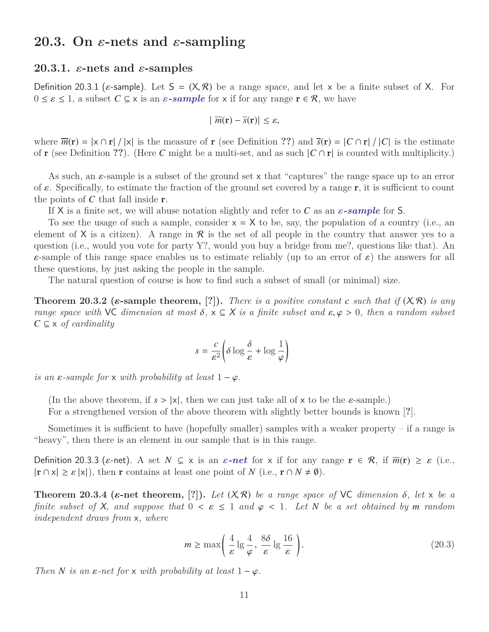## **20.3.** On  $\varepsilon$ -nets and  $\varepsilon$ -sampling

#### **20.3.1.**  $\varepsilon$ -nets and  $\varepsilon$ -samples

Definition 20.3.1 ( $\varepsilon$ -sample). Let  $S = (X, \mathcal{R})$  be a range space, and let x be a finite subset of X. For  $0 \leq \varepsilon \leq 1$ , a subset  $C \subseteq x$  is an  $\varepsilon$ -sample for x if for any range  $\mathbf{r} \in \mathcal{R}$ , we have

$$
|\overline{m}(\mathbf{r}) - \overline{s}(\mathbf{r})| \leq \varepsilon,
$$

where  $\overline{m}(\mathbf{r}) = |\mathbf{x} \cap \mathbf{r}| / |\mathbf{x}|$  is the measure of **r** (see Definition ??) and  $\overline{s}(\mathbf{r}) = |C \cap \mathbf{r}| / |C|$  is the estimate of **r** (see Definition ??). (Here *C* might be a multi-set, and as such  $|C \cap r|$  is counted with multiplicity.)

As such, an  $\varepsilon$ -sample is a subset of the ground set x that "captures" the range space up to an error of  $\varepsilon$ . Specifically, to estimate the fraction of the ground set covered by a range r, it is sufficient to count the points of *C* that fall inside r.

If X is a finite set, we will abuse notation slightly and refer to C as an  $\varepsilon$ -sample for S.

To see the usage of such a sample, consider  $x = X$  to be, say, the population of a country (i.e., an element of X is a citizen). A range in R is the set of all people in the country that answer yes to a question (i.e., would you vote for party Y?, would you buy a bridge from me?, questions like that). An  $\varepsilon$ -sample of this range space enables us to estimate reliably (up to an error of  $\varepsilon$ ) the answers for all these questions, by just asking the people in the sample.

The natural question of course is how to find such a subset of small (or minimal) size.

**Theorem 20.3.2 (***ε***-sample theorem, [?]).** *There is a positive constant c such that if*  $(X, \mathcal{R})$  *is any range space with*  $\vee$ C *dimension at most*  $\delta$ ,  $x \subseteq X$  *is a finite subset and*  $\varepsilon$ ,  $\varphi > 0$ , *then a random subset C* ⊆ x *of cardinality*

$$
s = \frac{c}{\varepsilon^2} \left( \delta \log \frac{\delta}{\varepsilon} + \log \frac{1}{\varphi} \right)
$$

*is an*  $\varepsilon$ -sample for x with probability at least  $1 - \varphi$ .

(In the above theorem, if  $s > |x|$ , then we can just take all of x to be the  $\varepsilon$ -sample.)

For a strengthened version of the above theorem with slightly better bounds is known [**?**].

Sometimes it is sufficient to have (hopefully smaller) samples with a weaker property  $-$  if a range is "heavy", then there is an element in our sample that is in this range.

Definition 20.3.3 ( $\varepsilon$ -net). A set  $N \subseteq x$  is an  $\varepsilon$ -net for x if for any range  $\mathbf{r} \in \mathcal{R}$ , if  $\overline{m}(\mathbf{r}) \geq \varepsilon$  (i.e.,  $|\mathbf{r} \cap \mathbf{x}| \ge \varepsilon |\mathbf{x}|$ , then **r** contains at least one point of *N* (i.e.,  $\mathbf{r} \cap N \ne \emptyset$ ).

**Theorem 20.3.4 (** $\varepsilon$ **-net theorem, [?]).** Let  $(X, \mathcal{R})$  be a range space of VC dimension  $\delta$ , let  $x$  be a *finite subset of* X, and suppose that  $0 \leq \varepsilon \leq 1$  and  $\varphi \leq 1$ . Let N be a set obtained by m random *independent draws from* x*, where*

$$
m \ge \max\left(\frac{4}{\varepsilon} \lg \frac{4}{\varphi}, \frac{8\delta}{\varepsilon} \lg \frac{16}{\varepsilon}\right). \tag{20.3}
$$

*Then*  $N$  *is an*  $\varepsilon$ *-net for*  $x$  *with probability at least*  $1 - \varphi$ *.*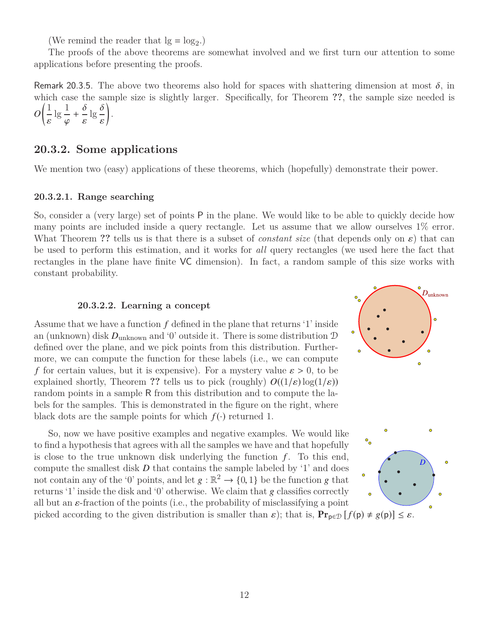(We remind the reader that  $\lg = \log_2$ .)

The proofs of the above theorems are somewhat involved and we first turn our attention to some applications before presenting the proofs.

Remark 20.3.5. The above two theorems also hold for spaces with shattering dimension at most  $\delta$ , in which case the sample size is slightly larger. Specifically, for Theorem **??**, the sample size needed is *O*  $\sqrt{1}$  $lg \frac{1}{2}$  $+\frac{6}{6}$  $\lg \frac{6}{5}$  $\backslash$ .

## **20.3.2. Some applications**

We mention two (easy) applications of these theorems, which (hopefully) demonstrate their power.

#### **20.3.2.1. Range searching**

 $\overline{a}$ 

So, consider a (very large) set of points P in the plane. We would like to be able to quickly decide how many points are included inside a query rectangle. Let us assume that we allow ourselves 1% error. What Theorem ?? tells us is that there is a subset of *constant size* (that depends only on  $\varepsilon$ ) that can be used to perform this estimation, and it works for *all* query rectangles (we used here the fact that rectangles in the plane have finite VC dimension). In fact, a random sample of this size works with constant probability.

#### **20.3.2.2. Learning a concept**

Assume that we have a function *f* defined in the plane that returns '1' inside an (unknown) disk *D*unknown and '0' outside it. There is some distribution D defined over the plane, and we pick points from this distribution. Furthermore, we can compute the function for these labels (i.e., we can compute *f* for certain values, but it is expensive). For a mystery value  $\varepsilon > 0$ , to be explained shortly, Theorem ?? tells us to pick (roughly)  $O((1/\varepsilon) \log(1/\varepsilon))$ random points in a sample R from this distribution and to compute the labels for the samples. This is demonstrated in the figure on the right, where black dots are the sample points for which  $f(\cdot)$  returned 1.

So, now we have positive examples and negative examples. We would like to find a hypothesis that agrees with all the samples we have and that hopefully is close to the true unknown disk underlying the function  $f$ . To this end, compute the smallest disk  $D$  that contains the sample labeled by  $\mathcal{L}$  and does not contain any of the '0' points, and let  $g : \mathbb{R}^2 \to \{0, 1\}$  be the function g that<br>returns '1' inside the disk and '0' otherwise. We claim that g classifies correctly returns '1' inside the disk and '0' otherwise. We claim that g classifies correctly all but an  $\varepsilon$ -fraction of the points (i.e., the probability of misclassifying a point





picked according to the given distribution is smaller than  $\varepsilon$ ); that is,  $\mathbf{Pr}_{\mathbf{p}\in\mathcal{D}}[f(\mathbf{p})\neq g(\mathbf{p})] \leq \varepsilon$ .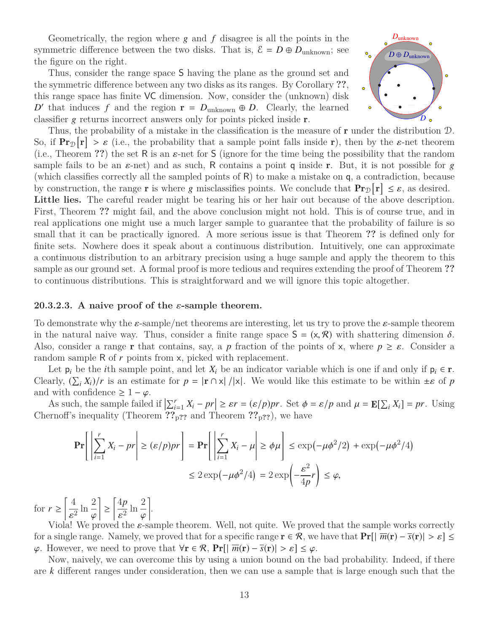Geometrically, the region where  $g$  and  $f$  disagree is all the points in the symmetric difference between the two disks. That is,  $\mathcal{E} = D \oplus D_{unknown}$ ; see the figure on the right.

Thus, consider the range space S having the plane as the ground set and the symmetric difference between any two disks as its ranges. By Corollary **??**, this range space has finite VC dimension. Now, consider the (unknown) disk *D*<sup> $\prime$ </sup> that induces *f* and the region  $\mathbf{r} = D_{\text{unknown}} \oplus D$ . Clearly, the learned classifier g returns incorrect answers only for points picked inside r.



Thus, the probability of a mistake in the classification is the measure of **r** under the distribution  $\mathcal{D}$ . So, if  $\Pr_{\mathcal{D}}[r] > \varepsilon$  (i.e., the probability that a sample point falls inside r), then by the  $\varepsilon$ -net theorem (i.e., Theorem 22) the set R is an s-net for S (ignore for the time being the possibility that the rando (i.e., Theorem **??**) the set R is an  $\varepsilon$ -net for S (ignore for the time being the possibility that the random sample fails to be an  $\varepsilon$ -net) and as such, R contains a point q inside r. But, it is not possible for g (which classifies correctly all the sampled points of R) to make a mistake on q, a contradiction, because by construction, the range **r** is where g misclassifies points. We conclude that  $\Pr_{\mathcal{D}}[r] \leq \varepsilon$ , as desired.<br>Little lies. The careful reader might be tearing his or her hair out because of the above description Little lies. The careful reader might be tearing his or her hair out because of the above description. First, Theorem **??** might fail, and the above conclusion might not hold. This is of course true, and in real applications one might use a much larger sample to guarantee that the probability of failure is so small that it can be practically ignored. A more serious issue is that Theorem **??** is defined only for finite sets. Nowhere does it speak about a continuous distribution. Intuitively, one can approximate a continuous distribution to an arbitrary precision using a huge sample and apply the theorem to this sample as our ground set. A formal proof is more tedious and requires extending the proof of Theorem **??** to continuous distributions. This is straightforward and we will ignore this topic altogether.

#### **20.3.2.3. A naive proof of the** ε**-sample theorem.**

To demonstrate why the  $\varepsilon$ -sample/net theorems are interesting, let us try to prove the  $\varepsilon$ -sample theorem in the natural naive way. Thus, consider a finite range space  $S = (x, R)$  with shattering dimension  $\delta$ . Also, consider a range **r** that contains, say, a *p* fraction of the points of x, where  $p \geq \varepsilon$ . Consider a random sample R of *r* points from x, picked with replacement.

Let  $p_i$  be the *i*th sample point, and let  $X_i$  be an indicator variable which is one if and only if  $p_i \in \mathbf{r}$ . Clearly,  $(\sum_i X_i)/r$  is an estimate for  $p = |\mathbf{r} \cap \mathbf{x}| / |\mathbf{x}|$ . We would like this estimate to be within  $\pm \varepsilon$  of *p* and with confidence  $\geq 1 - \omega$ and with confidence  $\geq 1 - \varphi$ .

As such, the sample failed if  $\left|\sum_{i=1}^{r} X_i - pr\right| \geq \varepsilon r = (\varepsilon/p)pr$ . Set  $\phi = \varepsilon/p$  and  $\mu = \mathbb{E}[\sum_{i} X_i] = pr$ . Using reading the same  $\mathbb{E}[\sum_{i} X_i] = \varepsilon^2$ . Chernoff's inequality (Theorem **??**p**??** and Theorem **??**p**??**), we have

$$
\mathbf{Pr}\left[\left|\sum_{i=1}^{r} X_i - pr\right| \ge (\varepsilon/p)pr\right] = \mathbf{Pr}\left[\left|\sum_{i=1}^{r} X_i - \mu\right| \ge \phi\mu\right] \le \exp(-\mu\phi^2/2) + \exp(-\mu\phi^2/4)
$$

$$
\le 2\exp(-\mu\phi^2/4) = 2\exp\left(-\frac{\varepsilon^2}{4p}r\right) \le \varphi,
$$

for  $r \geq$  4  $\frac{1}{2} \ln \frac{2}{a}$ ≥ 4*p*  $\frac{p}{2} \ln \frac{2}{\omega}$ .

Viola! We proved the  $\varepsilon$ -sample theorem. Well, not quite. We proved that the sample works correctly<br>saingle range. Namely we proved that for a specific range  $\mathbf{r} \in \mathcal{R}$ , we have that  $\Pr[\mathbf{w}(\mathbf{r}) - \bar{\mathbf{s}}(\mathbf{r})]$ for a single range. Namely, we proved that for a specific range  $\mathbf{r} \in \mathcal{R}$ , we have that  $\Pr[|\overline{m}(\mathbf{r}) - \overline{s}(\mathbf{r})| > \varepsilon] \leq$  $\varphi$ . However, we need to prove that  $\forall \mathbf{r} \in \mathcal{R}$ ,  $\Pr[\|\overline{m}(\mathbf{r}) - \overline{s}(\mathbf{r})| > \varepsilon] \leq \varphi$ .

Now, naively, we can overcome this by using a union bound on the bad probability. Indeed, if there are *k* different ranges under consideration, then we can use a sample that is large enough such that the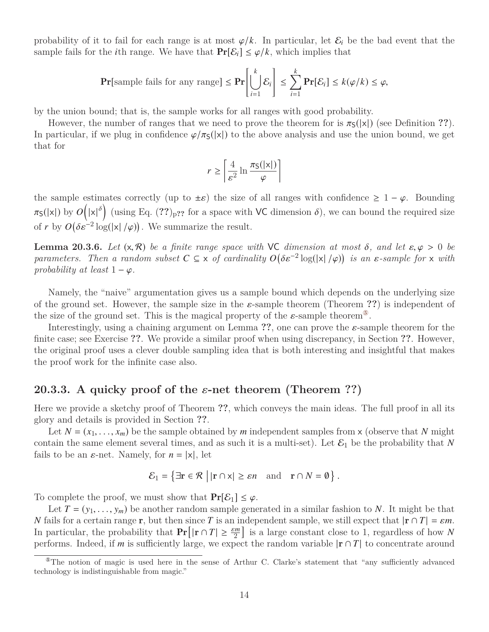probability of it to fail for each range is at most  $\varphi/k$ . In particular, let  $\mathcal{E}_i$  be the bad event that the sample fails for the *i*th range. We have that  $Pr[\mathcal{E}_i] \leq \varphi/k$ , which implies that

$$
\mathbf{Pr}[\text{sample fails for any range}] \leq \mathbf{Pr}\left[\bigcup_{i=1}^{k} \mathcal{E}_i\right] \leq \sum_{i=1}^{k} \mathbf{Pr}[\mathcal{E}_i] \leq k(\varphi/k) \leq \varphi,
$$

by the union bound; that is, the sample works for all ranges with good probability.

However, the number of ranges that we need to prove the theorem for is  $\pi_{S}(|x|)$  (see Definition ??). In particular, if we plug in confidence  $\varphi/\pi_S(|x|)$  to the above analysis and use the union bound, we get that for

$$
r \ge \left\lceil \frac{4}{\varepsilon^2} \ln \frac{\pi_{\mathsf{S}}(|\mathsf{x}|)}{\varphi} \right\rceil
$$

the sample estimates correctly (up to  $\pm \varepsilon$ ) the size of all ranges with confidence  $\geq 1 - \varphi$ . Bounding  $\pi_{\mathsf{S}}(|\mathsf{x}|)$  by  $O(|\mathsf{x}|^{\delta})$  (using Eq. (??)<sub>p??</sub> for a space with VC dimension  $\delta$ ), we can bound the required size of *r* by  $O(\delta \varepsilon^{-2} \log(|x|/\varphi))$ . We summarize the result.

**Lemma 20.3.6.** *Let*  $(x, R)$  *be a finite range space with* VC *dimension at most*  $\delta$ *, and let*  $\varepsilon, \varphi > 0$  *be parameters. Then a random subset*  $C \subseteq x$  *of cardinality*  $O(\delta \varepsilon^{-2} \log(|x|/\varphi))$  *is an*  $\varepsilon$ -sample for x *with* probability at least 1 –  $\varphi$ *probability at least*  $1 - \varphi$ *.* 

Namely, the "naive" argumentation gives us a sample bound which depends on the underlying size of the ground set. However, the sample size in the  $\varepsilon$ -sample theorem (Theorem ??) is independent of the size of the ground set. This is the magical property of the  $\varepsilon$ -sample theorem<sup>®</sup>.

Interestingly, using a chaining argument on Lemma **??**, one can prove the ε-sample theorem for the finite case; see Exercise **??**. We provide a similar proof when using discrepancy, in Section **??**. However, the original proof uses a clever double sampling idea that is both interesting and insightful that makes the proof work for the infinite case also.

### **20.3.3. A quicky proof of the** ε**-net theorem (Theorem ??)**

Here we provide a sketchy proof of Theorem **??**, which conveys the main ideas. The full proof in all its glory and details is provided in Section **??**.

Let  $N = (x_1, \ldots, x_m)$  be the sample obtained by *m* independent samples from x (observe that *N* might contain the same element several times, and as such it is a multi-set). Let  $\mathcal{E}_1$  be the probability that N fails to be an  $\varepsilon$ -net. Namely, for  $n = |x|$ , let

$$
\mathcal{E}_1 = \{ \exists \mathbf{r} \in \mathcal{R} \mid |\mathbf{r} \cap \mathbf{x}| \ge \varepsilon n \text{ and } \mathbf{r} \cap N = \emptyset \}.
$$

To complete the proof, we must show that  $Pr[\mathcal{E}_1] \leq \varphi$ .

Let  $T = (y_1, \ldots, y_m)$  be another random sample generated in a similar fashion to N. It might be that *N* fails for a certain range **r**, but then since *T* is an independent sample, we still expect that  $|\mathbf{r} \cap T| = \varepsilon m$ . In particular, the probability that  $Pr[|\mathbf{r} \cap T| \ge \frac{\varepsilon m}{2}]$  is a large constant close to 1, regardless of how *N* performs. Indeed, if *m* is sufficiently large, we expect the random variable  $|r \cap T|$  to concentrate around

<span id="page-13-0"></span><sup>⑤</sup>The notion of magic is used here in the sense of Arthur C. Clarke's statement that "any sufficiently advanced technology is indistinguishable from magic."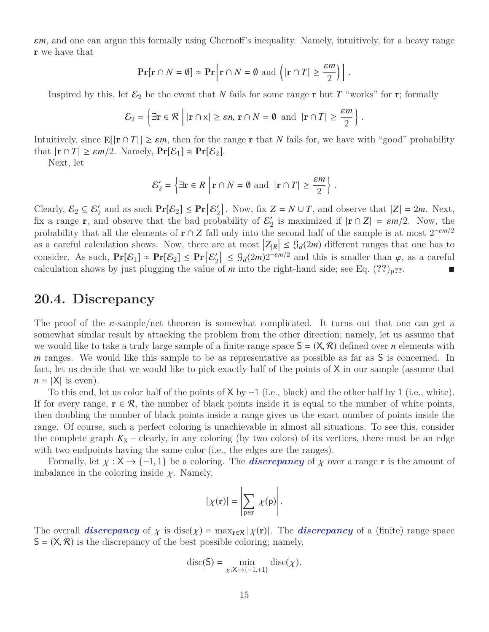ε*m*, and one can argue this formally using Chernoff's inequality. Namely, intuitively, for a heavy range r we have that

$$
\Pr[\mathbf{r} \cap N = \emptyset] \approx \Pr\Big[\mathbf{r} \cap N = \emptyset \text{ and } \Big(|\mathbf{r} \cap T| \ge \frac{\varepsilon m}{2}\Big)\Big].
$$

Inspired by this, let  $\mathcal{E}_2$  be the event that *N* fails for some range **r** but *T* "works" for **r**; formally

$$
\mathcal{E}_2 = \left\{ \exists \mathbf{r} \in \mathcal{R} \mid |\mathbf{r} \cap \mathbf{x}| \ge \varepsilon n, \, \mathbf{r} \cap N = \emptyset \text{ and } |\mathbf{r} \cap T| \ge \frac{\varepsilon m}{2} \right\}.
$$

Intuitively, since  $\mathbf{E}[\mathbf{r} \cap T] \ge \varepsilon m$ , then for the range **r** that *N* fails for, we have with "good" probability that  $|\mathbf{r} \cap T| \ge \varepsilon m/2$ . Namely,  $\Pr[\mathcal{E}_1] \approx \Pr[\mathcal{E}_2]$ .

Next, let

$$
\mathcal{E}'_2 = \left\{ \exists \mathbf{r} \in R \, \left| \mathbf{r} \cap N = \emptyset \text{ and } \left| \mathbf{r} \cap T \right| \ge \frac{\varepsilon m}{2} \right\}
$$

Clearly,  $\mathcal{E}_2 \subseteq \mathcal{E}_2'$  and as such  $\Pr[\mathcal{E}_2] \leq \Pr[\mathcal{E}_2']$  $Z_2$ . Now, fix  $Z = N \cup T$ , and observe that  $|Z| = 2m$ . Next, fix a range **r**, and observe that the bad probability of  $\mathcal{E}'_2$  $\sum_{i=1}^{\infty}$  is maximized if  $|\mathbf{r} \cap Z| = \varepsilon m/2$ . Now, the probability that all the elements of  $\mathbf{r} \cap Z$  fall only into the second half of the sample is at most  $2^{-\varepsilon m/2}$ as a careful calculation shows. Now, there are at most  $|Z_{R}| \leq \frac{G}{d}(2m)$  different ranges that one has to consider. As such,  $Pr[\mathcal{E}_1] \approx Pr[\mathcal{E}_2] \le Pr[\mathcal{E}_2']$  $\mathcal{L}_2' \leq \mathcal{G}_d(2m)2^{-\varepsilon m/2}$  and this is smaller than  $\varphi$ , as a careful<br>of *m* into the right-hand side: see Eq. (22) as calculation shows by just plugging the value of *m* into the right-hand side; see Eq.  $(??)_{p?}$ ?.

## **20.4. Discrepancy**

The proof of the  $\varepsilon$ -sample/net theorem is somewhat complicated. It turns out that one can get a somewhat similar result by attacking the problem from the other direction; namely, let us assume that we would like to take a truly large sample of a finite range space  $S = (X, \mathcal{R})$  defined over *n* elements with *m* ranges. We would like this sample to be as representative as possible as far as S is concerned. In fact, let us decide that we would like to pick exactly half of the points of X in our sample (assume that  $n = |X|$  is even).

To this end, let us color half of the points of  $X$  by  $-1$  (i.e., black) and the other half by 1 (i.e., white). If for every range,  $\mathbf{r} \in \mathcal{R}$ , the number of black points inside it is equal to the number of white points, then doubling the number of black points inside a range gives us the exact number of points inside the range. Of course, such a perfect coloring is unachievable in almost all situations. To see this, consider the complete graph  $K_3$  – clearly, in any coloring (by two colors) of its vertices, there must be an edge with two endpoints having the same color (i.e., the edges are the ranges).

Formally, let  $\chi : X \to \{-1, 1\}$  be a coloring. The *discrepancy* of  $\chi$  over a range **r** is the amount of imbalance in the coloring inside  $\chi$ . Namely,

$$
|\chi(\mathbf{r})| = \left|\sum_{p \in \mathbf{r}} \chi(p)\right|.
$$

The overall *discrepancy* of  $\chi$  is disc( $\chi$ ) = max<sub>r∈R</sub> |  $\chi$ (**r**)|. The *discrepancy* of a (finite) range space  $S = (X, \mathcal{R})$  is the discrepancy of the best possible coloring; namely,

$$
\mathrm{disc}(\mathsf{S})=\min_{\chi:\mathsf{X}\to\{-1,+1\}}\mathrm{disc}(\chi).
$$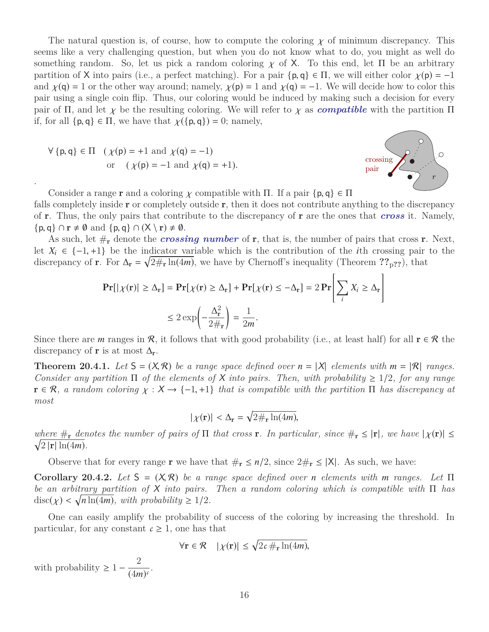The natural question is, of course, how to compute the coloring  $\chi$  of minimum discrepancy. This seems like a very challenging question, but when you do not know what to do, you might as well do something random. So, let us pick a random coloring  $\chi$  of X. To this end, let  $\Pi$  be an arbitrary partition of X into pairs (i.e., a perfect matching). For a pair  $\{p, q\} \in \Pi$ , we will either color  $\chi(p) = -1$ and  $\chi(\mathbf{q}) = 1$  or the other way around; namely,  $\chi(\mathbf{p}) = 1$  and  $\chi(\mathbf{q}) = -1$ . We will decide how to color this pair using a single coin flip. Thus, our coloring would be induced by making such a decision for every pair of  $\Pi$ , and let  $\chi$  be the resulting coloring. We will refer to  $\chi$  as *compatible* with the partition  $\Pi$ if, for all  $\{p, q\} \in \Pi$ , we have that  $\chi(\{p, q\}) = 0$ ; namely,

$$
\forall \{p, q\} \in \Pi \quad (\chi(p) = +1 \text{ and } \chi(q) = -1)
$$
  
or 
$$
(\chi(p) = -1 \text{ and } \chi(q) = +1).
$$

.



Consider a range **r** and a coloring  $\chi$  compatible with Π. If a pair  $\{p, q\} \in \Pi$ 

falls completely inside  $\bf r$  or completely outside  $\bf r$ , then it does not contribute anything to the discrepancy of r. Thus, the only pairs that contribute to the discrepancy of r are the ones that *cross* it. Namely,  $\{p, q\} \cap \mathbf{r} \neq \emptyset \text{ and } \{p, q\} \cap (\mathsf{X} \setminus \mathbf{r}) \neq \emptyset.$ 

As such, let  $\#_{\mathbf{r}}$  denote the *crossing number* of  $\mathbf{r}$ , that is, the number of pairs that cross  $\mathbf{r}$ . Next, let  $X_i$  ∈ {-1, +1} be the indicator variable which is the contribution of the *i*th crossing pair to the discrepancy of **r**. For  $\Delta_{\bf r} = \sqrt{2\#_{\bf r} \ln(4m)}$ , we have by Chernoff's inequality (Theorem  $?$ <sup>2</sup> $p$ ??), that

$$
\begin{aligned} \Pr[|\chi(\mathbf{r})| \geq \Delta_{\mathbf{r}}] &= \Pr[\chi(\mathbf{r}) \geq \Delta_{\mathbf{r}}] + \Pr[\chi(\mathbf{r}) \leq -\Delta_{\mathbf{r}}] = 2 \Pr\Bigg[\sum_{i} X_{i} \geq \Delta_{\mathbf{r}}\Bigg] \\ &\leq 2 \exp\Biggl(-\frac{\Delta_{\mathbf{r}}^{2}}{2\#_{\mathbf{r}}}\Biggr) = \frac{1}{2m} .\end{aligned}
$$

Since there are *m* ranges in R, it follows that with good probability (i.e., at least half) for all  $\mathbf{r} \in \mathcal{R}$  the discrepancy of **r** is at most  $\Delta_{\mathbf{r}}$ .

**Theorem 20.4.1.** Let  $S = (X, \mathcal{R})$  be a range space defined over  $n = |X|$  elements with  $m = |\mathcal{R}|$  ranges. *Consider any partition*  $\Pi$  *of the elements of* X *into pairs. Then, with probability*  $\geq 1/2$ *, for any range*  $\mathbf{r} \in \mathcal{R}$ , a random coloring  $\chi : X \to \{-1, +1\}$  that is compatible with the partition  $\Pi$  has discrepancy at *most*

$$
|\chi(\mathbf{r})| < \Delta_{\mathbf{r}} = \sqrt{2 \#_{\mathbf{r}} \ln(4m)},
$$

where  $\#_{\mathbf{r}}$  *denotes the number of pairs of*  $\Pi$  *that cross*  $\mathbf{r}$ *. In particular, since*  $\#_{\mathbf{r}} \leq |\mathbf{r}|$ *, we have*  $|\chi(\mathbf{r})| \leq$  $\sqrt{2 |\mathbf{r}| \ln(4m)}$ .

Observe that for every range **r** we have that  $\#_{\mathbf{r}} \leq n/2$ , since  $2\#_{\mathbf{r}} \leq |\mathsf{X}|$ . As such, we have:

**Corollary 20.4.2.** *Let* <sup>S</sup> <sup>=</sup> (X, R) *be a range space defined over <sup>n</sup> elements with <sup>m</sup> ranges. Let* <sup>Π</sup> *be an arbitrary partition of* X *into pairs. Then a random coloring which is compatible with* Π *has*  $\text{disc}(\chi) < \sqrt{n \ln(4m)}$ , with probability  $\geq 1/2$ .

One can easily amplify the probability of success of the coloring by increasing the threshold. In particular, for any constant  $c \geq 1$ , one has that

$$
\forall \mathbf{r} \in \mathcal{R} \quad |\chi(\mathbf{r})| \le \sqrt{2c \#_{\mathbf{r}} \ln(4m)},
$$

with probability  $\geq 1 - \frac{2}{\sqrt{4}}$  $\frac{2}{(4m)^c}$ .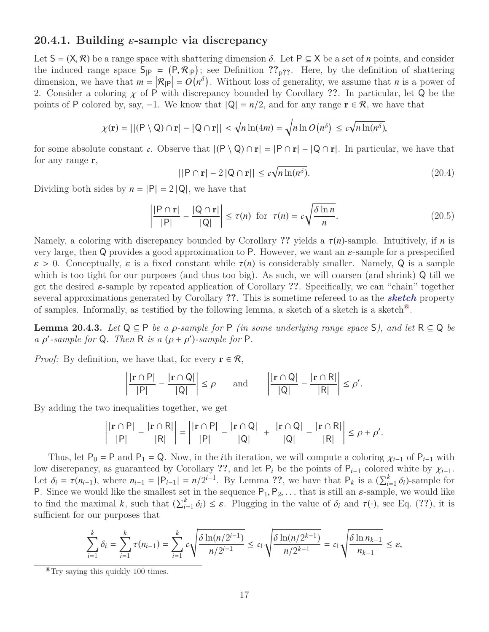#### **20.4.1. Building** ε**-sample via discrepancy**

Let  $S = (X, \mathcal{R})$  be a range space with shattering dimension  $\delta$ . Let  $P \subseteq X$  be a set of *n* points, and consider the induced range space  $S_{|P} = (P, \mathcal{R}_{|P})$ ; see Definition ??<sub>p??</sub>. Here, by the definition of shattering<br>dimension we have that  $m = |\mathcal{R}_{\text{in}}| = O(n^{\delta})$ . Without loss of generality we assume that *n* is a power of dimension, we have that  $m = |\mathcal{R}_{|P}| = O(n^{\delta})$ . Without loss of generality, we assume that *n* is a power of 2. Consider a coloring χ of <sup>P</sup> with discrepancy bounded by Corollary **??**. In particular, let <sup>Q</sup> be the points of P colored by, say,  $-1$ . We know that  $|Q| = n/2$ , and for any range  $r \in \mathcal{R}$ , we have that

$$
\chi(\mathbf{r}) = ||(P \setminus Q) \cap \mathbf{r}| - |Q \cap \mathbf{r}|| < \sqrt{n \ln(4m)} = \sqrt{n \ln O(n^{\delta})} \le c \sqrt{n \ln(n^{\delta})},
$$

for some absolute constant *c*. Observe that  $| (P \setminus Q) \cap r | = |P \cap r| - |Q \cap r|$ . In particular, we have that for any range r,

$$
||P \cap \mathbf{r}| - 2|Q \cap \mathbf{r}|| \le c\sqrt{n \ln(n^{\delta})}.
$$
\n(20.4)

Dividing both sides by  $n = |P| = 2 |Q|$ , we have that

$$
\left| \frac{|\mathsf{P} \cap \mathbf{r}|}{|\mathsf{P}|} - \frac{|\mathsf{Q} \cap \mathbf{r}|}{|\mathsf{Q}|} \right| \le \tau(n) \quad \text{for} \quad \tau(n) = c \sqrt{\frac{\delta \ln n}{n}}.
$$
\n(20.5)

Namely, a coloring with discrepancy bounded by Corollary **??** yields a τ(*n*)-sample. Intuitively, if *<sup>n</sup>* is very large, then Q provides a good approximation to P. However, we want an  $\varepsilon$ -sample for a prespecified  $\varepsilon > 0$ . Conceptually,  $\varepsilon$  is a fixed constant while  $\tau(n)$  is considerably smaller. Namely, Q is a sample which is too tight for our purposes (and thus too big). As such, we will coarsen (and shrink) Q till we get the desired ε-sample by repeated application of Corollary **??**. Specifically, we can "chain" together several approximations generated by Corollary **??**. This is sometime refereed to as the *sketch* property of samples. Informally, as testified by the following lemma, a sketch of a sketch is a sketch<sup> $\degree$ </sup>.

**Lemma 20.4.3.** *Let*  $Q ⊆ P$  *be a*  $\rho$ -sample for  $P$  *(in some underlying range space*  $S$ *), and let*  $R ⊆ Q$  *be a*  $\rho'$ -sample for Q. Then R *is a*  $(\rho + \rho')$ -sample for P.

*Proof:* By definition, we have that, for every  $\mathbf{r} \in \mathcal{R}$ ,

$$
\left|\frac{|\mathbf{r}\cap P|}{|P|} - \frac{|\mathbf{r}\cap Q|}{|Q|}\right| \le \rho \quad \text{and} \quad \left|\frac{|\mathbf{r}\cap Q|}{|Q|} - \frac{|\mathbf{r}\cap R|}{|R|}\right| \le \rho'.
$$

By adding the two inequalities together, we get

$$
\left|\frac{|\mathbf{r}\cap P|}{|P|}-\frac{|\mathbf{r}\cap R|}{|R|}\right|=\left|\frac{|\mathbf{r}\cap P|}{|P|}-\frac{|\mathbf{r}\cap Q|}{|Q|}+\frac{|\mathbf{r}\cap Q|}{|Q|}-\frac{|\mathbf{r}\cap R|}{|R|}\right|\leq \rho+\rho'.
$$

Thus, let P<sub>0</sub> = P and P<sub>1</sub> = Q. Now, in the *i*th iteration, we will compute a coloring  $\chi_{i-1}$  of P<sub>*i*−1</sub> with low discrepancy, as guaranteed by Corollary ??, and let  $P_i$  be the points of  $P_{i-1}$  colored white by  $\chi_{i-1}$ . Let  $\delta_i = \tau(n_{i-1})$ , where  $n_{i-1} = |P_{i-1}| = n/2^{i-1}$ . By Lemma ??, we have that  $P_k$  is a  $(\sum_{i=1}^k \delta_i)$ -sample for  $P_k$  Since we would like the smallest set in the sequence  $P_k$   $P_k$  that is still an s-sample we would li P. Since we would like the smallest set in the sequence  $P_1, P_2, \ldots$  that is still an  $\varepsilon$ -sample, we would like to find the maximal *k*, such that  $(\sum_{i=1}^{k} \delta_i) \leq \varepsilon$ . Plugging in the value of  $\delta_i$  and  $\tau(\cdot)$ , see Eq. (??), it is sufficient for our purposes that sufficient for our purposes that

$$
\sum_{i=1}^k \delta_i = \sum_{i=1}^k \tau(n_{i-1}) = \sum_{i=1}^k c \sqrt{\frac{\delta \ln(n/2^{i-1})}{n/2^{i-1}}} \le c_1 \sqrt{\frac{\delta \ln(n/2^{k-1})}{n/2^{k-1}}} = c_1 \sqrt{\frac{\delta \ln n_{k-1}}{n_{k-1}}} \le \varepsilon,
$$

<span id="page-16-0"></span> $^{\circ}$ Try saying this quickly 100 times.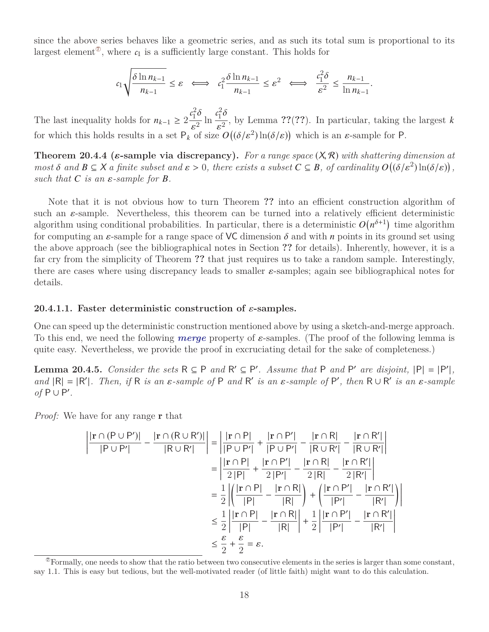since the above series behaves like a geometric series, and as such its total sum is proportional to its largest element<sup> $\mathcal{O}$ </sup>, where  $c_1$  is a sufficiently large constant. This holds for

$$
c_1\sqrt{\frac{\delta\ln n_{k-1}}{n_{k-1}}}\leq \varepsilon\;\;\Longleftrightarrow\;\;c_1^2\frac{\delta\ln n_{k-1}}{n_{k-1}}\leq \varepsilon^2\;\;\Longleftrightarrow\;\;\frac{c_1^2\delta}{\varepsilon^2}\leq \frac{n_{k-1}}{\ln n_{k-1}}.
$$

The last inequality holds for  $n_{k-1} \geq 2 \frac{c_1^2}{a}$  $\frac{10}{2}$ ε  $\frac{1}{2}$ ln *c* 2  $\frac{10}{2}$ ε  $\frac{1}{2}$ , by Lemma ??(??). In particular, taking the largest *k* for which this holds results in a set  $P_k$  of size  $O((\delta/\varepsilon^2) \ln(\delta/\varepsilon))$  which is an  $\varepsilon$ -sample for P.

**Theorem 20.4.4 (**ε**-sample via discrepancy).** *For a range space* (X, R) *with shattering dimension at most*  $\delta$  *and*  $B \subseteq X$  *a finite subset and*  $\varepsilon > 0$ *, there exists a subset*  $C \subseteq B$ *, of cardinality*  $O((\delta/\varepsilon^2) \ln(\delta/\varepsilon))$ *,* such that  $C$  is an  $S$  sample for  $B$ *such that*  $C$  *is an*  $\varepsilon$ -sample for  $B$ .

Note that it is not obvious how to turn Theorem **??** into an efficient construction algorithm of such an  $\varepsilon$ -sample. Nevertheless, this theorem can be turned into a relatively efficient deterministic algorithm using conditional probabilities. In particular, there is a deterministic  $O(n^{\delta+1})$  time algorithm for computing an  $\varepsilon$ -sample for a range space of VC dimension  $\delta$  and with *n* points in its ground set using the above approach (see the bibliographical notes in Section **??** for details). Inherently, however, it is a far cry from the simplicity of Theorem **??** that just requires us to take a random sample. Interestingly, there are cases where using discrepancy leads to smaller  $\varepsilon$ -samples; again see bibliographical notes for details.

#### **20.4.1.1.** Faster deterministic construction of  $\varepsilon$ -samples.

One can speed up the deterministic construction mentioned above by using a sketch-and-merge approach. To this end, we need the following *merge* property of ε-samples. (The proof of the following lemma is quite easy. Nevertheless, we provide the proof in excruciating detail for the sake of completeness.)

**Lemma 20.4.5.** *Consider the sets*  $R \subseteq P$  *and*  $R' \subseteq P'$ *. Assume that* P *and* P' *are disjoint*,  $|P| = |P'|$ *, and*  $|R| = |R'|$ . Then, if R is an  $\varepsilon$ -sample of P and R' is an  $\varepsilon$ -sample of P', then  $R \cup R'$  is an  $\varepsilon$ -sample of  $P \cup P'$  $of P \cup P'$ .

*Proof:* We have for any range **r** that

$$
\left| \frac{|\mathbf{r} \cap (P \cup P')|}{|P \cup P'|} - \frac{|\mathbf{r} \cap (R \cup R')|}{|R \cup R'|} \right| = \left| \frac{|\mathbf{r} \cap P|}{|P \cup P'|} + \frac{|\mathbf{r} \cap P'|}{|P \cup P'|} - \frac{|\mathbf{r} \cap R|}{|R \cup R'|} - \frac{|\mathbf{r} \cap R'|}{|R \cup R'|} \right|
$$

$$
= \left| \frac{|\mathbf{r} \cap P|}{2|P|} + \frac{|\mathbf{r} \cap P'|}{2|P'|} - \frac{|\mathbf{r} \cap R|}{2|R|} - \frac{|\mathbf{r} \cap R'|}{2|R'|} \right|
$$

$$
= \frac{1}{2} \left| \left( \frac{|\mathbf{r} \cap P|}{|P|} - \frac{|\mathbf{r} \cap R|}{|R|} \right) + \left( \frac{|\mathbf{r} \cap P'|}{|P'|} - \frac{|\mathbf{r} \cap R'|}{|R'|} \right) \right|
$$

$$
\leq \frac{1}{2} \left| \frac{|\mathbf{r} \cap P|}{|P|} - \frac{|\mathbf{r} \cap R|}{|R|} \right| + \frac{1}{2} \left| \frac{|\mathbf{r} \cap P'|}{|P'|} - \frac{|\mathbf{r} \cap R'|}{|R'|} \right|
$$

$$
\leq \frac{\varepsilon}{2} + \frac{\varepsilon}{2} = \varepsilon.
$$

<span id="page-17-0"></span> $^{\circ}$ Formally, one needs to show that the ratio between two consecutive elements in the series is larger than some constant, say <sup>1</sup>.1. This is easy but tedious, but the well-motivated reader (of little faith) might want to do this calculation.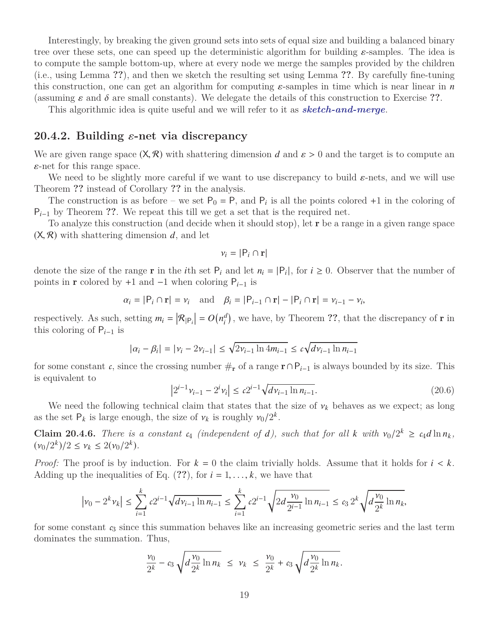Interestingly, by breaking the given ground sets into sets of equal size and building a balanced binary tree over these sets, one can speed up the deterministic algorithm for building ε-samples. The idea is to compute the sample bottom-up, where at every node we merge the samples provided by the children (i.e., using Lemma **??**), and then we sketch the resulting set using Lemma **??**. By carefully fine-tuning this construction, one can get an algorithm for computing  $\varepsilon$ -samples in time which is near linear in  $n$ (assuming  $\varepsilon$  and  $\delta$  are small constants). We delegate the details of this construction to Exercise ??.

This algorithmic idea is quite useful and we will refer to it as *sketch-and-merge*.

## **20.4.2. Building** ε**-net via discrepancy**

We are given range space  $(X, \mathcal{R})$  with shattering dimension *d* and  $\varepsilon > 0$  and the target is to compute an  $\varepsilon$ -net for this range space.

We need to be slightly more careful if we want to use discrepancy to build  $\varepsilon$ -nets, and we will use Theorem **??** instead of Corollary **??** in the analysis.

The construction is as before – we set  $P_0 = P$ , and  $P_i$  is all the points colored +1 in the coloring of P<sub>i−1</sub> by Theorem ??. We repeat this till we get a set that is the required net.

To analyze this construction (and decide when it should stop), let r be a range in a given range space  $(X, \mathcal{R})$  with shattering dimension  $d$ , and let

$$
v_i = |\mathsf{P}_i \cap \mathbf{r}|
$$

denote the size of the range **r** in the *i*th set  $P_i$  and let  $n_i = |P_i|$ , for  $i \ge 0$ . Observer that the number of points in **r** colored by +1 and  $-1$  when coloring  $P_{i-1}$  is

$$
\alpha_i = |\mathsf{P}_i \cap \mathbf{r}| = \nu_i
$$
 and  $\beta_i = |\mathsf{P}_{i-1} \cap \mathbf{r}| - |\mathsf{P}_i \cap \mathbf{r}| = \nu_{i-1} - \nu_i$ ,

respectively. As such, setting  $m_i = |\mathcal{R}_{|P_i}| = O(n_i^d)$  $\binom{d}{i}$ , we have, by Theorem ??, that the discrepancy of **r** in this coloring of P*i*−<sup>1</sup> is

$$
|\alpha_i - \beta_i| = |\nu_i - 2\nu_{i-1}| \le \sqrt{2\nu_{i-1}\ln 4m_{i-1}} \le c\sqrt{d\nu_{i-1}\ln n_{i-1}}
$$

for some constant *c*, since the crossing number  $\#_{\mathbf{r}}$  of a range  $\mathbf{r} \cap P_{i-1}$  is always bounded by its size. This is equivalent to

$$
\left|2^{i-1}v_{i-1} - 2^i v_i\right| \le c2^{i-1}\sqrt{dv_{i-1}\ln n_{i-1}}.\tag{20.6}
$$

We need the following technical claim that states that the size of  $v_k$  behaves as we expect; as long<br>he set  $P_k$  is large enough, the size of  $v_k$  is roughly  $v_k/2^k$ as the set  $P_k$  is large enough, the size of  $\nu_k$  is roughly  $\nu_0/2^k$ .

**Claim 20.4.6.** *There is a constant*  $c_4$  *(independent of d), such that for all*  $k$  *with*  $v_0/2^k \ge c_4 d \ln n_k$ ,  $(v_0/2^k)/2 \le v_k \le 2(v_0/2^k)$  $(\nu_0/2^k)/2 \le \nu_k \le 2(\nu_0/2^k).$ 

*Proof:* The proof is by induction. For  $k = 0$  the claim trivially holds. Assume that it holds for  $i < k$ . Adding up the inequalities of Eq.  $(?)$ , for  $i = 1, \ldots, k$ , we have that

$$
\left|\nu_0 - 2^k \nu_k\right| \le \sum_{i=1}^k c2^{i-1} \sqrt{d\nu_{i-1} \ln n_{i-1}} \le \sum_{i=1}^k c2^{i-1} \sqrt{2d \frac{\nu_0}{2^{i-1}} \ln n_{i-1}} \le c_3 2^k \sqrt{d \frac{\nu_0}{2^k} \ln n_k},
$$

for some constant *c*<sup>3</sup> since this summation behaves like an increasing geometric series and the last term dominates the summation. Thus,

$$
\frac{\nu_0}{2^k} - c_3 \sqrt{d \frac{\nu_0}{2^k} \ln n_k} \leq \nu_k \leq \frac{\nu_0}{2^k} + c_3 \sqrt{d \frac{\nu_0}{2^k} \ln n_k}.
$$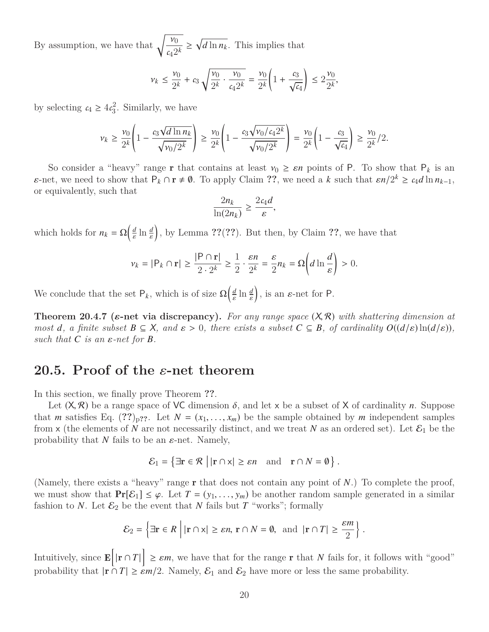By assumption, we have that  $\sqrt{\frac{\nu_0}{2}}$  $\frac{\nu_0}{c_4 2^k} \ge \sqrt{d \ln n_k}$ . This implies that

$$
\nu_k \le \frac{\nu_0}{2^k} + c_3 \sqrt{\frac{\nu_0}{2^k} \cdot \frac{\nu_0}{c_4 2^k}} = \frac{\nu_0}{2^k} \left( 1 + \frac{c_3}{\sqrt{c_4}} \right) \le 2 \frac{\nu_0}{2^k},
$$

by selecting  $c_4 \geq 4c_3^2$  $3<sup>2</sup>$ . Similarly, we have

$$
\nu_k \ge \frac{\nu_0}{2^k} \left( 1 - \frac{c_3 \sqrt{d \ln n_k}}{\sqrt{\nu_0/2^k}} \right) \ge \frac{\nu_0}{2^k} \left( 1 - \frac{c_3 \sqrt{\nu_0/c_4 2^k}}{\sqrt{\nu_0/2^k}} \right) = \frac{\nu_0}{2^k} \left( 1 - \frac{c_3}{\sqrt{c_4}} \right) \ge \frac{\nu_0}{2^k} / 2.
$$

So consider a "heavy" range **r** that contains at least  $v_0 \ge \varepsilon n$  points of P. To show that  $P_k$  is an  $\varepsilon$ -net, we need to show that  $P_k \cap r \neq \emptyset$ . To apply Claim ??, we need a *k* such that  $\varepsilon n/2^k \ge c_4 d \ln n_{k-1}$ , or occurred that or equivalently, such that

$$
\frac{2n_k}{\ln(2n_k)} \ge \frac{2c_4d}{\varepsilon},
$$

which holds for  $n_k = \Omega\left(\frac{d}{\varepsilon}\right)$  $\ln \frac{d}{s}$ , by Lemma **??**(**??**). But then, by Claim **??**, we have that

$$
\nu_k = |\mathsf{P}_k \cap \mathbf{r}| \ge \frac{|\mathsf{P} \cap \mathbf{r}|}{2 \cdot 2^k} \ge \frac{1}{2} \cdot \frac{\varepsilon n}{2^k} = \frac{\varepsilon}{2} n_k = \Omega \left( d \ln \frac{d}{\varepsilon} \right) > 0.
$$

We conclude that the set  $P_k$ , which is of size  $\Omega\left(\frac{d}{\epsilon}\right)$  $\ln \frac{d}{e}$ ), is an  $\varepsilon$ -net for P.

**Theorem 20.4.7 (** $\varepsilon$ **-net via discrepancy).** For any range space  $(X, \mathcal{R})$  with shattering dimension at *most d*, *a* finite subset  $B \subseteq X$ , and  $\varepsilon > 0$ , there exists a subset  $C \subseteq B$ , of cardinality  $O((d/\varepsilon) \ln(d/\varepsilon))$ , *such that*  $C$  *is an*  $\varepsilon$ *-net for*  $B$ *.* 

## **20.5. Proof of the** ε**-net theorem**

In this section, we finally prove Theorem **??**.

Let  $(X, \mathcal{R})$  be a range space of VC dimension  $\delta$ , and let x be a subset of X of cardinality *n*. Suppose that *m* satisfies Eq.  $(??)_{p?}$ ?. Let  $N = (x_1, \ldots, x_m)$  be the sample obtained by *m* independent samples from  $x$  (the elements of *N* are not necessarily distinct, and we treat *N* as an ordered set). Let  $\mathcal{E}_1$  be the probability that *N* fails to be an  $\varepsilon$ -net. Namely,

$$
\mathcal{E}_1 = \{ \exists \mathbf{r} \in \mathcal{R} \mid |\mathbf{r} \cap \mathsf{x}| \geq \varepsilon n \text{ and } \mathbf{r} \cap N = \emptyset \}.
$$

(Namely, there exists a "heavy" range r that does not contain any point of *N*.) To complete the proof, we must show that  $Pr[\mathcal{E}_1] \leq \varphi$ . Let  $T = (y_1, \ldots, y_m)$  be another random sample generated in a similar fashion to *N*. Let  $\mathcal{E}_2$  be the event that *N* fails but *T* "works"; formally

$$
\mathcal{E}_2 = \left\{ \exists \mathbf{r} \in R \; \middle| \; |\mathbf{r} \cap \mathbf{x}| \ge \varepsilon n, \, \mathbf{r} \cap N = \emptyset, \text{ and } |\mathbf{r} \cap T| \ge \frac{\varepsilon m}{2} \right\}.
$$

Intuitively, since  $\mathbf{E}\left[\left|\mathbf{r}\cap T\right|\right] \geq \varepsilon m$ , we have that for the range **r** that *N* fails for, it follows with "good" probability that  $|\mathbf{r} \cap T| \ge \varepsilon m/2$ . Namely,  $\mathcal{E}_1$  and  $\mathcal{E}_2$  have more or less the same probability.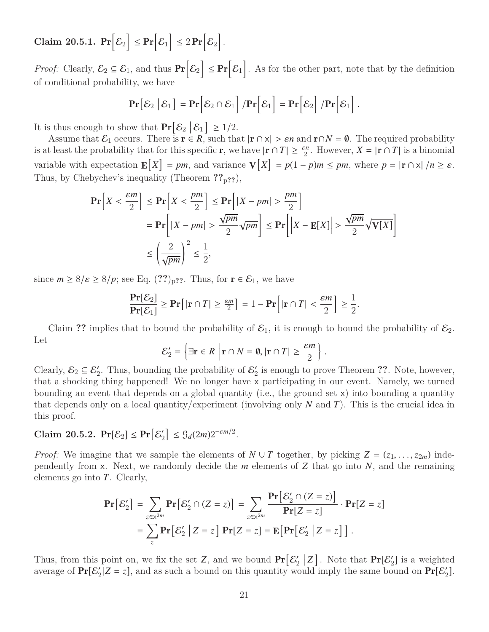$\text{Claim 20.5.1.} \; \Pr \Bigl[ \mathcal{E}_2 \Bigr] \leq \Pr \Bigl[ \mathcal{E}_1 \Bigr] \leq 2 \Pr \Bigl[ \mathcal{E}_2 \Bigr] \, .$ 

*Proof:* Clearly,  $\mathcal{E}_2 \subseteq \mathcal{E}_1$ , and thus  $\Pr[\mathcal{E}_2] \leq \Pr[\mathcal{E}_1]$ . As for the other part, note that by the definition of conditional probability, we have

$$
\Pr[\mathcal{E}_2 | \mathcal{E}_1] = \Pr[\mathcal{E}_2 \cap \mathcal{E}_1] / \Pr[\mathcal{E}_1] = \Pr[\mathcal{E}_2] / \Pr[\mathcal{E}_1].
$$

It is thus enough to show that  $Pr[\mathcal{E}_2 | \mathcal{E}_1] \ge 1/2$ .

Assume that  $\mathcal{E}_1$  occurs. There is  $\mathbf{r} \in \mathbb{R}$ , such that  $|\mathbf{r} \cap \mathbf{x}| > \varepsilon n$  and  $\mathbf{r} \cap N = \emptyset$ . The required probability is at least the probability that for this specific **r**, we have  $|\mathbf{r} \cap T| \ge \frac{\varepsilon n}{2}$ . However,  $X = |\mathbf{r} \cap T|$  is a binomial variable with expectation  $\mathbf{E}[X] = pm$ , and variance  $\mathbf{V}[X] = p(1-p)m \le pm$ , where  $p = |\mathbf{r} \cap \mathbf{x}|/n \ge \varepsilon$ . Thus, by Chebychev's inequality (Theorem **??**p**??**),

$$
\begin{aligned} \mathbf{Pr}\Big[X < \frac{\varepsilon m}{2}\Big] &\leq \mathbf{Pr}\Big[X < \frac{pm}{2}\Big] \leq \mathbf{Pr}\Big[|X - pm| > \frac{pm}{2}\Big] \\ &= \mathbf{Pr}\Big[|X - pm| > \frac{\sqrt{pm}}{2}\sqrt{pm}\Big] \leq \mathbf{Pr}\Big[|X - \mathbf{E}[X]\Big| > \frac{\sqrt{pm}}{2}\sqrt{\mathbf{V}[X]}\Big] \\ &\leq \left(\frac{2}{\sqrt{pm}}\right)^2 \leq \frac{1}{2}, \end{aligned}
$$

since  $m \geq 8/\varepsilon \geq 8/p$ ; see Eq.  $(??)_{p?}$ ?. Thus, for  $\mathbf{r} \in \mathcal{E}_1$ , we have

$$
\frac{\Pr[\mathcal{E}_2]}{\Pr[\mathcal{E}_1]} \ge \Pr[|\mathbf{r} \cap T| \ge \frac{\varepsilon m}{2}] = 1 - \Pr[|\mathbf{r} \cap T| < \frac{\varepsilon m}{2}] \ge \frac{1}{2}.
$$

Claim ?? implies that to bound the probability of  $\mathcal{E}_1$ , it is enough to bound the probability of  $\mathcal{E}_2$ . Let

$$
\mathcal{E}'_2 = \left\{ \exists \mathbf{r} \in R \; \middle| \; \mathbf{r} \cap N = \emptyset, \left| \mathbf{r} \cap T \right| \geq \frac{\varepsilon m}{2} \right\}.
$$

Clearly,  $\mathcal{E}_2 \subseteq \mathcal{E}'_2$ . Thus, bounding the probability of  $\mathcal{E}'_2$ 2 is enough to prove Theorem **??**. Note, however, that a shocking thing happened! We no longer have x participating in our event. Namely, we turned bounding an event that depends on a global quantity (i.e., the ground set x) into bounding a quantity that depends only on a local quantity/experiment (involving only *N* and *T*). This is the crucial idea in this proof.

#### Claim 20.5.2.  $Pr[\mathcal{E}_2] \leq Pr[\mathcal{E}_2']$  $\mathcal{E}_2^{\prime} \leq \mathcal{G}_d(2m)2^{-\varepsilon m/2}.$

*Proof:* We imagine that we sample the elements of  $N \cup T$  together, by picking  $Z = (z_1, \ldots, z_{2m})$  independently from x. Next, we randomly decide the *m* elements of *Z* that go into *N*, and the remaining elements go into *T*. Clearly,

$$
\mathbf{Pr}\big[\mathcal{E}_2'\big] = \sum_{z \in \mathcal{X}^{2m}} \mathbf{Pr}\big[\mathcal{E}_2' \cap (Z = z)\big] = \sum_{z \in \mathcal{X}^{2m}} \frac{\mathbf{Pr}\big[\mathcal{E}_2' \cap (Z = z)\big]}{\mathbf{Pr}[Z = z]} \cdot \mathbf{Pr}[Z = z]
$$

$$
= \sum_{z} \mathbf{Pr}\big[\mathcal{E}_2' \mid Z = z\big] \mathbf{Pr}[Z = z] = \mathbf{E}\big[\mathbf{Pr}\big[\mathcal{E}_2' \mid Z = z\big]\big].
$$

Thus, from this point on, we fix the set *Z*, and we bound  $\Pr[\mathcal{E}_2]$  $\binom{2}{2}$  **Z**. Note that  $\Pr[\mathcal{E}_2']$  is a weighted average of  $Pr[\mathcal{E}_2' | Z = z]$ , and as such a bound on this quantity would imply the same bound on  $Pr[\mathcal{E}_2']$ .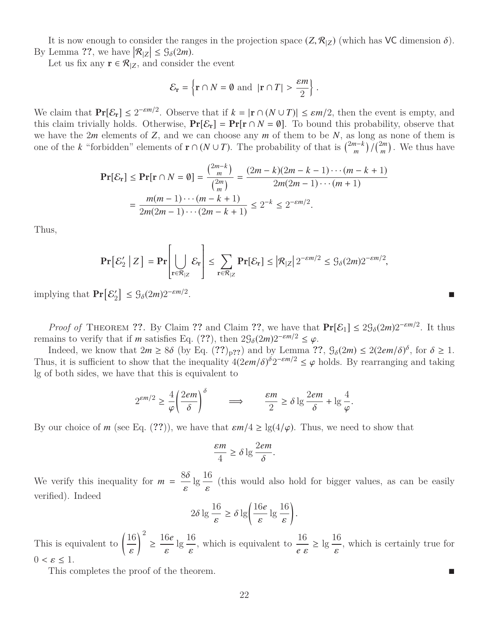It is now enough to consider the ranges in the projection space  $(Z, \mathcal{R}_{Z})$  (which has VC dimension  $\delta$ ). By Lemma ??, we have  $|\mathcal{R}_{|Z}| \leq \mathcal{G}_{\delta}(2m)$ .

Let us fix any  $\mathbf{r} \in \mathcal{R}_{|Z|}$ , and consider the event

$$
\mathcal{E}_{\mathbf{r}} = \left\{ \mathbf{r} \cap N = \emptyset \text{ and } |\mathbf{r} \cap T| > \frac{\varepsilon m}{2} \right\}
$$

We claim that  $Pr[\mathcal{E}_r] \leq 2^{-\varepsilon m/2}$ . Observe that if  $k = |r \cap (N \cup T)| \leq \varepsilon m/2$ , then the event is empty, and this claim trivially holds. Otherwise,  $Pr[\mathcal{E}_r] = Pr[r \cap N - \emptyset]$ . To bound this probability observe that this claim trivially holds. Otherwise,  $Pr[\mathcal{E}_r] = Pr[r \cap N = \emptyset]$ . To bound this probability, observe that we have the 2*m* elements of *Z*, and we can choose any *m* of them to be *N*, as long as none of them is one of the *k* "forbidden" elements of  $\mathbf{r} \cap (N \cup T)$ . The probability of that is  $\binom{2m-k}{m}$  $\binom{n-k}{m}$  /  $\binom{2m}{m}$  $\binom{2m}{m}$ . We thus have

$$
\mathbf{Pr}\{\mathcal{E}_{\mathbf{r}}\} \leq \mathbf{Pr}[\mathbf{r} \cap N = \emptyset] = \frac{\binom{2m-k}{m}}{\binom{2m}{m}} = \frac{(2m-k)(2m-k-1)\cdots(m-k+1)}{2m(2m-1)\cdots(m+1)}
$$

$$
= \frac{m(m-1)\cdots(m-k+1)}{2m(2m-1)\cdots(2m-k+1)} \leq 2^{-k} \leq 2^{-\varepsilon m/2}.
$$

Thus,

$$
\Pr\left[\mathcal{E}_2' \mid Z\right] = \Pr\left[\bigcup_{\mathbf{r}\in\mathcal{R}_{|Z}} \mathcal{E}_{\mathbf{r}}\right] \le \sum_{\mathbf{r}\in\mathcal{R}_{|Z}} \Pr\left[\mathcal{E}_{\mathbf{r}}\right] \le |\mathcal{R}_{|Z}| 2^{-\varepsilon m/2} \le \mathcal{G}_{\delta}(2m) 2^{-\varepsilon m/2},
$$

implying that  $Pr[\mathcal{E}_2]$  $\mathcal{E}_2^{\prime} \left[ \leq \mathcal{G}_{\delta}(2m) 2^{-\varepsilon m/2} \right]$ .

*Proof of* THEOREM **??**. By Claim **??** and Claim **??**, we have that  $Pr[\mathcal{E}_1] \leq 2\mathcal{G}_{\delta}(2m)2^{-\epsilon m/2}$ . It thus remains to verify that if *m* satisfies Eq. (??), then  $2\mathcal{G}_{\delta}(2m)2^{-\varepsilon m/2} \leq \varphi$ .<br>Indeed, we know that  $2m > 8\delta$  (by Eq. (??) as) and by Lemma ?

Indeed, we know that  $2m \geq 8\delta$  (by Eq.  $(??)_{p?}$ ?) and by Lemma  $?$ ?,  $\mathcal{G}_{\delta}(2m) \leq 2(2em/\delta)^{\delta}$ , for  $\delta \geq 1$ . Thus, it is sufficient to show that the inequality  $4(2em/\delta)^{\delta}2^{-\varepsilon m/2} \leq \varphi$  holds. By rearranging and taking lg of both sides, we have that this is equivalent to lg of both sides, we have that this is equivalent to

$$
2^{\varepsilon m/2} \ge \frac{4}{\varphi} \left( \frac{2e^2}{\delta} \right)^{\delta} \qquad \Longrightarrow \qquad \frac{\varepsilon m}{2} \ge \delta \lg \frac{2e^2}{\delta} + \lg \frac{4}{\varphi}.
$$

By our choice of *m* (see Eq. (??)), we have that  $\epsilon m/4 \geq \lg(4/\varphi)$ . Thus, we need to show that

$$
\frac{\varepsilon m}{4} \ge \delta \lg \frac{2e m}{\delta}
$$

We verify this inequality for  $m = \frac{8\delta}{\epsilon} \lg \frac{16}{\epsilon}$  (this would also hold for bigger values, as can be easily verified). Indeed

$$
2\delta \lg \frac{16}{\varepsilon} \ge \delta \lg \left( \frac{16e}{\varepsilon} \lg \frac{16}{\varepsilon} \right)
$$

This is equivalent to  $\left(\frac{16}{10}\right)^2$  $\geq \frac{16e}{\text{lg}} \cdot \text{lg} \cdot \text{which is equivalent to } \frac{16}{\text{log}}$ *e* ε  $\geq \lg \frac{16}{n}$ , which is certainly true for  $0 < \varepsilon \leq 1$ .

This completes the proof of the theorem.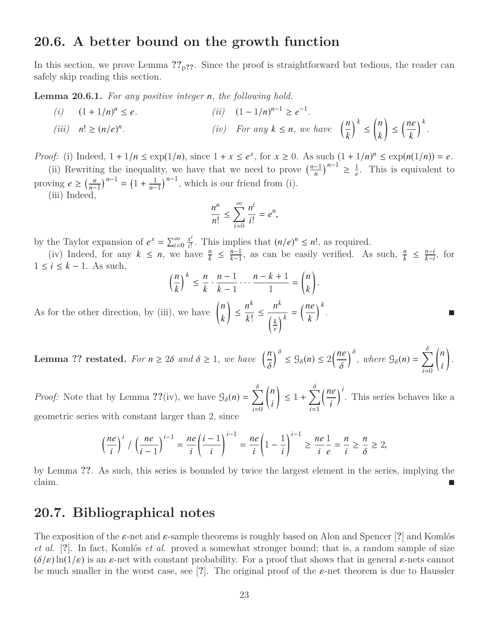## **20.6. A better bound on the growth function**

In this section, we prove Lemma  $?$ <sup>2</sup> $p$ ??. Since the proof is straightforward but tedious, the reader can safely skip reading this section.

**Lemma 20.6.1.** *For any positive integer n, the following hold.*

*(i)*  $(1 + 1/n)^n \le e$ .  $n \leq e$ . (*ii*)  $(1 - 1/n)^{n-1} \geq e^{-1}$ . *(iii) n*! ≥ (*n*/*e*) *n iiv)* For any  $k \leq n$ , we have  $\left(\frac{n}{l}\right)$ *k*  $\big)$ <sup>k</sup> ≤ *n k*  $\backslash$  $\leq \left(\frac{ne}{e}\right)$ *k k .*

*Proof:* (i) Indeed,  $1 + 1/n \le \exp(1/n)$ , since  $1 + x \le e^x$ , for  $x \ge 0$ . As such  $(1 + 1/n)^n \le \exp(n(1/n)) = e$ .

(ii) Rewriting the inequality, we have that we need to prove  $\left(\frac{n-1}{n}\right)$  $\left(\frac{-1}{n}\right)^{n-1} \geq \frac{1}{e}$  $\frac{1}{e}$ . This is equivalent to proving  $e \geq \left(\frac{n}{n}\right)$  $\left(\frac{n}{n-1}\right)^{n-1} = \left(1 + \frac{1}{n-1}\right)$  $\frac{1}{n-1}$ )<sup>n-1</sup>, which is our friend from (i). (iii) Indeed,

$$
\frac{n^n}{n!} \le \sum_{i=0}^{\infty} \frac{n^i}{i!} = e^n,
$$

by the Taylor expansion of  $e^x = \sum_{i=0}^{\infty}$ *x* i  $\frac{x^i}{i!}$ . This implies that  $(n/e)^n \leq n!$ , as required.

(iv) Indeed, for any  $k \leq n$ , we have  $\frac{n}{k} \leq \frac{n-1}{k-1}$  $\frac{n-1}{k-1}$ , as can be easily verified. As such,  $\frac{n}{k} \leq \frac{n-i}{k-i}$  $\frac{n-i}{k-i}$ , for 1 ≤ *i* ≤ *k* − 1. As such,

$$
\left(\frac{n}{k}\right)^k \leq \frac{n}{k} \cdot \frac{n-1}{k-1} \cdot \cdot \cdot \frac{n-k+1}{1} = \binom{n}{k}.
$$

As for the other direction, by (iii), we have  $\binom{n}{k}$ *k*  $\backslash$ ≤ *n k k*! ≤ *n k k e*  $\frac{k}{\lambda^k} = \left(\frac{ne}{k}\right)$ *k k* .

**Lemma ?? restated.** For  $n \geq 2\delta$  and  $\delta \geq 1$ , we have  $\left(\frac{n}{\delta}\right)$  $\int_{0}^{\delta} \leq \mathcal{G}_{\delta}(n) \leq 2\left(\frac{ne}{\delta}\right)$  $\int_{0}^{b}$ , where  $\mathcal{G}_{\delta}(n) = \sum_{i=0}^{n}$ *i*=0 *n i*  $\backslash$ *.*

*Proof:* Note that by Lemma ??(iv), we have  $\mathcal{G}_{\delta}(n) = \sum_{i=0}^{n}$ *i*=0 *n i*  $\backslash$  $\leq 1 + \sum$ *i*=1 *ne i*  $\int_0^i$ . This series behaves like a geometric series with constant larger than 2, since

$$
\left(\frac{ne}{i}\right)^i / \left(\frac{ne}{i-1}\right)^{i-1} = \frac{ne}{i} \left(\frac{i-1}{i}\right)^{i-1} = \frac{ne}{i} \left(1 - \frac{1}{i}\right)^{i-1} \ge \frac{ne}{i} \frac{1}{e} = \frac{n}{i} \ge \frac{n}{\delta} \ge 2,
$$

by Lemma **??**. As such, this series is bounded by twice the largest element in the series, implying the claim.

# **20.7. Bibliographical notes**

The exposition of the ε-net and ε-sample theorems is roughly based on Alon and Spencer [**?**] and Komlós *et al.* [**?**]. In fact, Komlós *et al.* proved a somewhat stronger bound; that is, a random sample of size  $(\delta/\varepsilon) \ln(1/\varepsilon)$  is an  $\varepsilon$ -net with constant probability. For a proof that shows that in general  $\varepsilon$ -nets cannot be much smaller in the worst case, see [**?**]. The original proof of the ε-net theorem is due to Haussler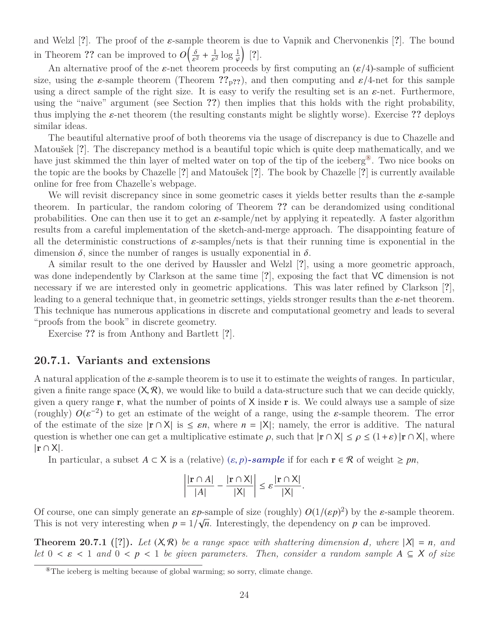and Welzl [**?**]. The proof of the ε-sample theorem is due to Vapnik and Chervonenkis [**?**]. The bound in Theorem ?? can be improved to  $O\left(\frac{\delta}{\varepsilon^2} + \frac{1}{\varepsilon^2} \log \frac{1}{\varphi}\right)$  [?].

An alternative proof of the  $\varepsilon$ -net theorem proceeds by first computing an  $(\varepsilon/4)$ -sample of sufficient<br>using the s-sample theorem (Theorem 22 se), and then computing and  $\varepsilon/4$ -net for this sample size, using the  $\varepsilon$ -sample theorem (Theorem  $\mathfrak{P}_p$ ??), and then computing and  $\varepsilon/4$ -net for this sample using a direct sample of the right size. It is easy to verify the resulting set is an  $\varepsilon$ -net. Furthermore, using the "naive" argument (see Section **??**) then implies that this holds with the right probability, thus implying the  $\varepsilon$ -net theorem (the resulting constants might be slightly worse). Exercise ?? deploys similar ideas.

The beautiful alternative proof of both theorems via the usage of discrepancy is due to Chazelle and Matoušek [**?**]. The discrepancy method is a beautiful topic which is quite deep mathematically, and we have just skimmed the thin layer of melted water on top of the tip of the iceberg<sup>®</sup>. Two nice books on the topic are the books by Chazelle [**?**] and Matoušek [**?**]. The book by Chazelle [**?**] is currently available online for free from Chazelle's webpage.

We will revisit discrepancy since in some geometric cases it yields better results than the  $\varepsilon$ -sample theorem. In particular, the random coloring of Theorem **??** can be derandomized using conditional probabilities. One can then use it to get an  $\varepsilon$ -sample/net by applying it repeatedly. A faster algorithm results from a careful implementation of the sketch-and-merge approach. The disappointing feature of all the deterministic constructions of  $\varepsilon$ -samples/nets is that their running time is exponential in the dimension  $\delta$ , since the number of ranges is usually exponential in  $\delta$ .

A similar result to the one derived by Haussler and Welzl [**?**], using a more geometric approach, was done independently by Clarkson at the same time [**?**], exposing the fact that VC dimension is not necessary if we are interested only in geometric applications. This was later refined by Clarkson [**?**], leading to a general technique that, in geometric settings, yields stronger results than the  $\varepsilon$ -net theorem. This technique has numerous applications in discrete and computational geometry and leads to several "proofs from the book" in discrete geometry.

Exercise **??** is from Anthony and Bartlett [**?**].

### **20.7.1. Variants and extensions**

A natural application of the ε-sample theorem is to use it to estimate the weights of ranges. In particular, given a finite range space  $(X, \mathcal{R})$ , we would like to build a data-structure such that we can decide quickly, given a query range  $r$ , what the number of points of X inside  $r$  is. We could always use a sample of size (roughly)  $O(\varepsilon^{-2})$  to get an estimate of the weight of a range, using the  $\varepsilon$ -sample theorem. The error<br>of the estimate of the size  $|\mathbf{r} \cap \mathbf{X}|$  is  $\leq \varepsilon n$ , where  $n = |\mathbf{X}|$ ; namely the error is additive. The n of the estimate of the size  $|r \cap X|$  is  $\leq \varepsilon n$ , where  $n = |X|$ ; namely, the error is additive. The natural question is whether one can get a multiplicative estimate  $\rho$ , such that  $|r \cap X| \leq \rho \leq (1+\varepsilon) |r \cap X|$ , where |r ∩ X|.

In particular, a subset  $A \subset X$  is a (relative)  $(\varepsilon, p)$ *-sample* if for each  $\mathbf{r} \in \mathcal{R}$  of weight  $\geq pn$ ,

$$
\left|\frac{|\mathbf{r}\cap A|}{|A|}-\frac{|\mathbf{r}\cap X|}{|X|}\right|\leq \varepsilon\frac{|\mathbf{r}\cap X|}{|X|}.
$$

Of course, one can simply generate an  $\varepsilon p$ -sample of size (roughly)  $O(1/(\varepsilon p)^2)$  by the  $\varepsilon$ -sample theorem.<br>This is not very interesting when  $n = 1/\sqrt{n}$ . Interestingly, the dependency on  $n$  can be improved This is not very interesting when  $p = 1/\sqrt{n}$ . Interestingly, the dependency on p can be improved.

**Theorem 20.7.1** ([?]). Let  $(X, \mathcal{R})$  be a range space with shattering dimension *d*, where  $|X| = n$ , and *let*  $0 \lt \varepsilon \lt 1$  *and*  $0 \lt p \lt 1$  *be given parameters. Then, consider a random sample*  $A \subseteq X$  *of size* 

<span id="page-23-0"></span><sup>⑧</sup>The iceberg is melting because of global warming; so sorry, climate change.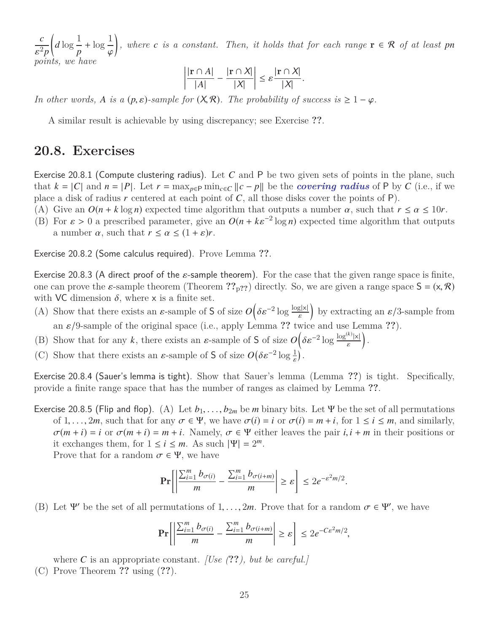*c* ε *points, we have* 2*p*  $\int_{d}$  log  $\frac{1}{2}$ *p*  $+\log \frac{1}{2}$  $\overline{a}$ Ι *f*, where *c is a constant. Then, it holds that for each range*  $\mathbf{r} \in \mathcal{R}$  *of at least pn* 

$$
\left|\frac{|\mathbf{r}\cap A|}{|A|}-\frac{|\mathbf{r}\cap X|}{|X|}\right|\leq \varepsilon\frac{|\mathbf{r}\cap X|}{|X|}.
$$

*In other words, A is a* ( $p$ ,  $\varepsilon$ )*-sample for* ( $X$ , $\mathcal{R}$ )*. The probability of success is*  $\geq 1 - \varphi$ *.* 

A similar result is achievable by using discrepancy; see Exercise **??**.

## **20.8. Exercises**

Exercise 20.8.1 (Compute clustering radius). Let *C* and P be two given sets of points in the plane, such that  $k = |C|$  and  $n = |P|$ . Let  $r = \max_{p \in P} \min_{c \in C} ||c - p||$  be the *covering radius* of P by C (i.e., if we place a disk of radius  $r$  centered at each point of  $C$ , all those disks cover the points of  $P$ ).

- (A) Give an  $O(n + k \log n)$  expected time algorithm that outputs a number  $\alpha$ , such that  $r \leq \alpha \leq 10r$ .
- (B) For  $\varepsilon > 0$  a prescribed parameter, give an  $O(n + k\varepsilon^{-2} \log n)$  expected time algorithm that outputs a number  $\alpha$  such that  $r \leq \alpha \leq (1 + \varepsilon)r$ a number  $\alpha$ , such that  $r \leq \alpha \leq (1 + \varepsilon)r$ .

Exercise 20.8.2 (Some calculus required). Prove Lemma **??**.

Exercise 20.8.3 (A direct proof of the  $\varepsilon$ -sample theorem). For the case that the given range space is finite, one can prove the  $\varepsilon$ -sample theorem (Theorem  $\mathcal{P}_{p}$ ??) directly. So, we are given a range space  $S = (x, \mathcal{R})$ with VC dimension  $\delta$ , where x is a finite set.

- (A) Show that there exists an  $\varepsilon$ -sample of **S** of size  $O\left(\delta \varepsilon^{-2} \log \frac{\log |x|}{\varepsilon}\right)$  by extracting an  $\varepsilon/3$ -sample from an  $\varepsilon/9$ -sample of the original space (i.e., apply Lemma ?? twice and use Lemma ??).
- (B) Show that for any *k*, there exists an  $\varepsilon$ -sample of **S** of size  $O\left(\delta \varepsilon^{-2} \log \frac{\log^{(k)} |x|}{\varepsilon}\right)$  $\big).$
- (C) Show that there exists an  $\varepsilon$ -sample of **S** of size  $O(\delta \varepsilon^{-2} \log \frac{1}{\varepsilon})$ .

Exercise 20.8.4 (Sauer's lemma is tight). Show that Sauer's lemma (Lemma **??**) is tight. Specifically, provide a finite range space that has the number of ranges as claimed by Lemma **??**.

Exercise 20.8.5 (Flip and flop). (A) Let  $b_1, \ldots, b_{2m}$  be *m* binary bits. Let  $\Psi$  be the set of all permutations of 1, ..., 2*m*, such that for any  $\sigma \in \Psi$ , we have  $\sigma(i) = i$  or  $\sigma(i) = m + i$ , for  $1 \le i \le m$ , and similarly,  $\sigma(m+i) = i$  or  $\sigma(m+i) = m+i$ . Namely,  $\sigma \in \Psi$  either leaves the pair  $i, i+m$  in their positions or it exchanges them, for  $1 \le i \le m$ . As such  $|\Psi| = 2^m$ .

Prove that for a random  $\sigma \in \Psi$ , we have

$$
\Pr\left[\left|\frac{\sum_{i=1}^m b_{\sigma(i)}}{m} - \frac{\sum_{i=1}^m b_{\sigma(i+m)}}{m}\right| \geq \varepsilon\right] \leq 2e^{-\varepsilon^2 m/2}.
$$

(B) Let  $\Psi'$  be the set of all permutations of  $1, \ldots, 2m$ . Prove that for a random  $\sigma \in \Psi'$ , we have

$$
\Pr\left[\left|\frac{\sum_{i=1}^m b_{\sigma(i)}}{m} - \frac{\sum_{i=1}^m b_{\sigma(i+m)}}{m}\right| \geq \varepsilon\right] \leq 2e^{-C\varepsilon^2 m/2},
$$

where *C* is an appropriate constant. *[Use (***??***), but be careful.]* (C) Prove Theorem **??** using (**??**).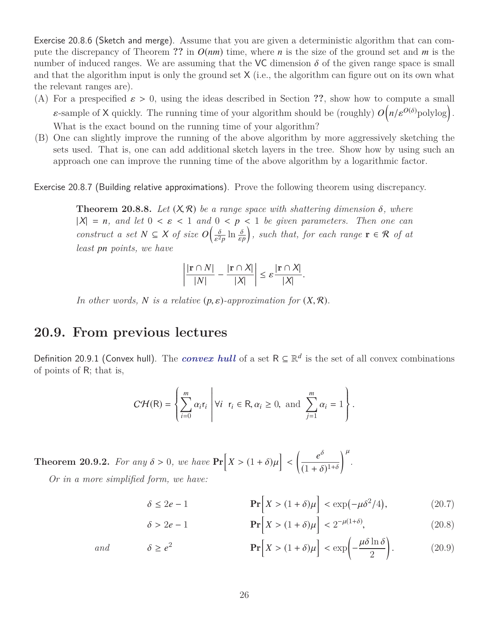Exercise 20.8.6 (Sketch and merge). Assume that you are given a deterministic algorithm that can compute the discrepancy of Theorem ?? in  $O(nm)$  time, where *n* is the size of the ground set and *m* is the number of induced ranges. We are assuming that the VC dimension  $\delta$  of the given range space is small and that the algorithm input is only the ground set  $X$  (i.e., the algorithm can figure out on its own what the relevant ranges are).

- (A) For a prespecified  $\varepsilon > 0$ , using the ideas described in Section ??, show how to compute a small  $\varepsilon$ -sample of X quickly. The running time of your algorithm should be (roughly)  $O(n/\varepsilon^{O(\delta)}$  polylog). What is the exact bound on the running time of your algorithm?
- (B) One can slightly improve the running of the above algorithm by more aggressively sketching the sets used. That is, one can add additional sketch layers in the tree. Show how by using such an approach one can improve the running time of the above algorithm by a logarithmic factor.

Exercise 20.8.7 (Building relative approximations). Prove the following theorem using discrepancy.

**Theorem 20.8.8.** Let  $(X, \mathcal{R})$  be a range space with shattering dimension  $\delta$ , where  $|X| = n$ , and let  $0 \le \varepsilon \le 1$  and  $0 \le p \le 1$  be given parameters. Then one can *construct a set*  $N \subseteq X$  *of size*  $O\left(\frac{\delta}{s^2}\right)$  $\frac{\partial}{\varepsilon^2 p} \ln \frac{\partial}{\varepsilon p}$ *)*, such that, for each range  $\mathbf{r} \in \mathcal{R}$  of at *least pn points, we have*

$$
\left|\frac{|\mathbf{r}\cap N|}{|N|}-\frac{|\mathbf{r}\cap X|}{|X|}\right|\leq \varepsilon\frac{|\mathbf{r}\cap X|}{|X|}.
$$

*In other words, N is a relative*  $(p, \varepsilon)$ *-approximation for*  $(X, \mathcal{R})$ *.* 

## **20.9. From previous lectures**

Definition 20.9.1 (Convex hull). The *convex hull* of a set  $R \subseteq \mathbb{R}^d$  is the set of all convex combinations of points of R; that is,

$$
C\mathcal{H}(\mathsf{R})=\left\{\sum_{i=0}^m \alpha_ir_i\middle| \forall i \text{ } r_i \in \mathsf{R}, \alpha_i \geq 0, \text{ and } \sum_{j=1}^m \alpha_i=1\right\}.
$$

**Theorem 20.9.2.** *For any*  $\delta > 0$ *, we have*  $\Pr[X > (1 + \delta)\mu]$  *e* δ  $(1+\delta)^{1+\delta}$  $\big)^{\mu}$ *. Or in a more simplified form, we have:*

$$
\delta \le 2e - 1 \qquad \mathbf{Pr}\Big[X > (1 + \delta)\mu\Big] < \exp(-\mu \delta^2/4), \tag{20.7}
$$

$$
\delta > 2e - 1 \qquad \mathbf{Pr}\Big[X > (1+\delta)\mu\Big] < 2^{-\mu(1+\delta)}, \tag{20.8}
$$

and 
$$
\delta \ge e^2
$$
  $\mathbf{Pr}\left[X > (1+\delta)\mu\right] < \exp\left(-\frac{\mu\delta\ln\delta}{2}\right).$  (20.9)